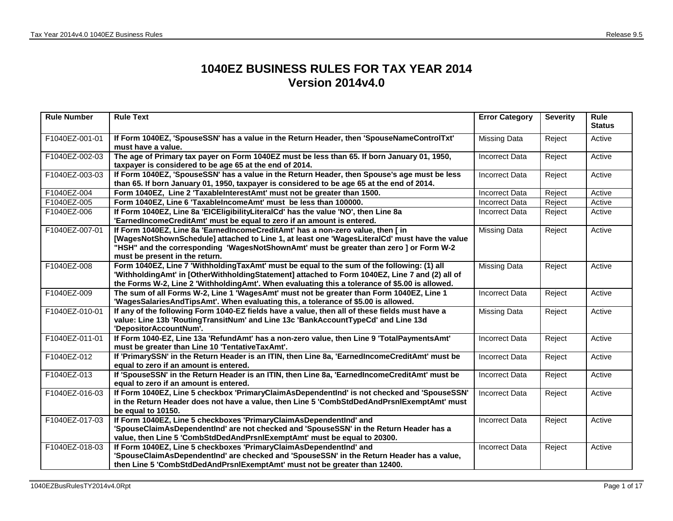## **1040EZ BUSINESS RULES FOR TAX YEAR 2014 Version 2014v4.0**

| <b>Rule Number</b> | <b>Rule Text</b>                                                                                                                                                                                                                                                                                            | <b>Error Category</b> | <b>Severity</b> | Rule<br><b>Status</b> |
|--------------------|-------------------------------------------------------------------------------------------------------------------------------------------------------------------------------------------------------------------------------------------------------------------------------------------------------------|-----------------------|-----------------|-----------------------|
| F1040EZ-001-01     | If Form 1040EZ, 'SpouseSSN' has a value in the Return Header, then 'SpouseNameControlTxt'<br>must have a value.                                                                                                                                                                                             | <b>Missing Data</b>   | Reject          | Active                |
| F1040EZ-002-03     | The age of Primary tax payer on Form 1040EZ must be less than 65. If born January 01, 1950,<br>taxpayer is considered to be age 65 at the end of 2014.                                                                                                                                                      | <b>Incorrect Data</b> | Reject          | Active                |
| F1040EZ-003-03     | If Form 1040EZ, 'SpouseSSN' has a value in the Return Header, then Spouse's age must be less<br>than 65. If born January 01, 1950, taxpayer is considered to be age 65 at the end of 2014.                                                                                                                  | <b>Incorrect Data</b> | Reject          | Active                |
| F1040EZ-004        | Form 1040EZ, Line 2 'TaxableInterestAmt' must not be greater than 1500.                                                                                                                                                                                                                                     | <b>Incorrect Data</b> | Reject          | Active                |
| F1040EZ-005        | Form 1040EZ, Line 6 'TaxableIncomeAmt' must be less than 100000.                                                                                                                                                                                                                                            | <b>Incorrect Data</b> | Reject          | Active                |
| F1040EZ-006        | If Form 1040EZ, Line 8a 'EICEligibilityLiteralCd' has the value 'NO', then Line 8a<br>'EarnedIncomeCreditAmt' must be equal to zero if an amount is entered.                                                                                                                                                | <b>Incorrect Data</b> | Reject          | Active                |
| F1040EZ-007-01     | If Form 1040EZ, Line 8a 'EarnedIncomeCreditAmt' has a non-zero value, then [in<br>[WagesNotShownSchedule] attached to Line 1, at least one 'WagesLiteralCd' must have the value<br>"HSH" and the corresponding 'WagesNotShownAmt' must be greater than zero ] or Form W-2<br>must be present in the return. | <b>Missing Data</b>   | Reject          | Active                |
| F1040EZ-008        | Form 1040EZ, Line 7 'WithholdingTaxAmt' must be equal to the sum of the following: (1) all<br>'WithholdingAmt' in [OtherWithholdingStatement] attached to Form 1040EZ, Line 7 and (2) all of<br>the Forms W-2, Line 2 'WithholdingAmt'. When evaluating this a tolerance of \$5.00 is allowed.              | <b>Missing Data</b>   | Reject          | Active                |
| F1040EZ-009        | The sum of all Forms W-2, Line 1 'WagesAmt' must not be greater than Form 1040EZ, Line 1<br>'WagesSalariesAndTipsAmt'. When evaluating this, a tolerance of \$5.00 is allowed.                                                                                                                              | <b>Incorrect Data</b> | Reject          | Active                |
| F1040EZ-010-01     | If any of the following Form 1040-EZ fields have a value, then all of these fields must have a<br>value: Line 13b 'RoutingTransitNum' and Line 13c 'BankAccountTypeCd' and Line 13d<br>'DepositorAccountNum'.                                                                                               | <b>Missing Data</b>   | Reject          | Active                |
| F1040EZ-011-01     | If Form 1040-EZ, Line 13a 'RefundAmt' has a non-zero value, then Line 9 'TotalPaymentsAmt'<br>must be greater than Line 10 'TentativeTaxAmt'.                                                                                                                                                               | <b>Incorrect Data</b> | Reject          | Active                |
| F1040EZ-012        | If 'PrimarySSN' in the Return Header is an ITIN, then Line 8a, 'EarnedIncomeCreditAmt' must be<br>equal to zero if an amount is entered.                                                                                                                                                                    | <b>Incorrect Data</b> | Reject          | Active                |
| F1040EZ-013        | If 'SpouseSSN' in the Return Header is an ITIN, then Line 8a, 'EarnedIncomeCreditAmt' must be<br>equal to zero if an amount is entered.                                                                                                                                                                     | <b>Incorrect Data</b> | Reject          | Active                |
| F1040EZ-016-03     | If Form 1040EZ, Line 5 checkbox 'PrimaryClaimAsDependentInd' is not checked and 'SpouseSSN'<br>in the Return Header does not have a value, then Line 5 'CombStdDedAndPrsnlExemptAmt' must<br>be equal to 10150.                                                                                             | <b>Incorrect Data</b> | Reject          | Active                |
| F1040EZ-017-03     | If Form 1040EZ, Line 5 checkboxes 'PrimaryClaimAsDependentInd' and<br>'SpouseClaimAsDependentInd' are not checked and 'SpouseSSN' in the Return Header has a<br>value, then Line 5 'CombStdDedAndPrsnIExemptAmt' must be equal to 20300.                                                                    | <b>Incorrect Data</b> | Reject          | Active                |
| F1040EZ-018-03     | If Form 1040EZ, Line 5 checkboxes 'PrimaryClaimAsDependentInd' and<br>'SpouseClaimAsDependentInd' are checked and 'SpouseSSN' in the Return Header has a value,<br>then Line 5 'CombStdDedAndPrsnIExemptAmt' must not be greater than 12400.                                                                | <b>Incorrect Data</b> | Reject          | Active                |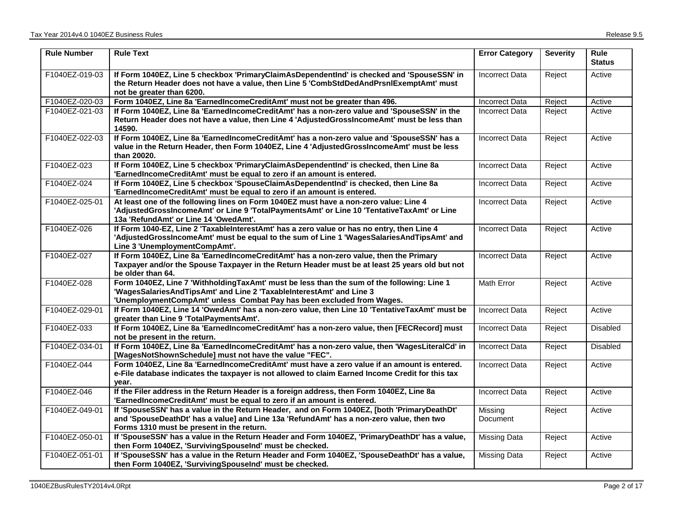| <b>Rule Number</b> | <b>Rule Text</b>                                                                                                                                                                                                                            | <b>Error Category</b> | <b>Severity</b> | <b>Rule</b><br><b>Status</b> |
|--------------------|---------------------------------------------------------------------------------------------------------------------------------------------------------------------------------------------------------------------------------------------|-----------------------|-----------------|------------------------------|
| F1040EZ-019-03     | If Form 1040EZ, Line 5 checkbox 'PrimaryClaimAsDependentInd' is checked and 'SpouseSSN' in<br>the Return Header does not have a value, then Line 5 'CombStdDedAndPrsnIExemptAmt' must<br>not be greater than 6200.                          | <b>Incorrect Data</b> | Reject          | Active                       |
| F1040EZ-020-03     | Form 1040EZ, Line 8a 'EarnedIncomeCreditAmt' must not be greater than 496.                                                                                                                                                                  | <b>Incorrect Data</b> | Reject          | Active                       |
| F1040EZ-021-03     | If Form 1040EZ, Line 8a 'EarnedIncomeCreditAmt' has a non-zero value and 'SpouseSSN' in the<br>Return Header does not have a value, then Line 4 'AdjustedGrossIncomeAmt' must be less than<br>14590.                                        | <b>Incorrect Data</b> | Reject          | Active                       |
| F1040EZ-022-03     | If Form 1040EZ, Line 8a 'EarnedIncomeCreditAmt' has a non-zero value and 'SpouseSSN' has a<br>value in the Return Header, then Form 1040EZ, Line 4 'AdjustedGrossIncomeAmt' must be less<br>than 20020.                                     | <b>Incorrect Data</b> | Reject          | Active                       |
| F1040EZ-023        | If Form 1040EZ, Line 5 checkbox 'PrimaryClaimAsDependentInd' is checked, then Line 8a<br>'EarnedIncomeCreditAmt' must be equal to zero if an amount is entered.                                                                             | <b>Incorrect Data</b> | Reject          | Active                       |
| F1040EZ-024        | If Form 1040EZ, Line 5 checkbox 'SpouseClaimAsDependentInd' is checked, then Line 8a<br>'EarnedIncomeCreditAmt' must be equal to zero if an amount is entered.                                                                              | <b>Incorrect Data</b> | Reject          | Active                       |
| F1040EZ-025-01     | At least one of the following lines on Form 1040EZ must have a non-zero value: Line 4<br>'AdjustedGrossIncomeAmt' or Line 9 'TotalPaymentsAmt' or Line 10 'TentativeTaxAmt' or Line<br>13a 'RefundAmt' or Line 14 'OwedAmt'.                | Incorrect Data        | Reject          | Active                       |
| F1040EZ-026        | If Form 1040-EZ, Line 2 'TaxableInterestAmt' has a zero value or has no entry, then Line 4<br>'AdjustedGrossIncomeAmt' must be equal to the sum of Line 1 'WagesSalariesAndTipsAmt' and<br>Line 3 'UnemploymentCompAmt'.                    | <b>Incorrect Data</b> | Reject          | Active                       |
| F1040EZ-027        | If Form 1040EZ, Line 8a 'EarnedIncomeCreditAmt' has a non-zero value, then the Primary<br>Taxpayer and/or the Spouse Taxpayer in the Return Header must be at least 25 years old but not<br>be older than 64.                               | <b>Incorrect Data</b> | Reject          | Active                       |
| F1040EZ-028        | Form 1040EZ, Line 7 'WithholdingTaxAmt' must be less than the sum of the following: Line 1<br>'WagesSalariesAndTipsAmt' and Line 2 'TaxableInterestAmt' and Line 3<br>'UnemploymentCompAmt' unless Combat Pay has been excluded from Wages. | <b>Math Error</b>     | Reject          | Active                       |
| F1040EZ-029-01     | If Form 1040EZ, Line 14 'OwedAmt' has a non-zero value, then Line 10 'TentativeTaxAmt' must be<br>greater than Line 9 'TotalPaymentsAmt'.                                                                                                   | <b>Incorrect Data</b> | Reject          | Active                       |
| F1040EZ-033        | If Form 1040EZ, Line 8a 'EarnedIncomeCreditAmt' has a non-zero value, then [FECRecord] must<br>not be present in the return.                                                                                                                | <b>Incorrect Data</b> | Reject          | Disabled                     |
| F1040EZ-034-01     | If Form 1040EZ, Line 8a 'EarnedIncomeCreditAmt' has a non-zero value, then 'WagesLiteralCd' in<br>[WagesNotShownSchedule] must not have the value "FEC".                                                                                    | <b>Incorrect Data</b> | Reject          | Disabled                     |
| F1040EZ-044        | Form 1040EZ, Line 8a 'EarnedIncomeCreditAmt' must have a zero value if an amount is entered.<br>e-File database indicates the taxpayer is not allowed to claim Earned Income Credit for this tax<br>year.                                   | <b>Incorrect Data</b> | Reject          | Active                       |
| F1040EZ-046        | If the Filer address in the Return Header is a foreign address, then Form 1040EZ, Line 8a<br>'EarnedIncomeCreditAmt' must be equal to zero if an amount is entered.                                                                         | <b>Incorrect Data</b> | Reject          | Active                       |
| F1040EZ-049-01     | If 'SpouseSSN' has a value in the Return Header, and on Form 1040EZ, [both 'PrimaryDeathDt'<br>and 'SpouseDeathDt' has a value] and Line 13a 'RefundAmt' has a non-zero value, then two<br>Forms 1310 must be present in the return.        | Missing<br>Document   | Reject          | Active                       |
| F1040EZ-050-01     | If 'SpouseSSN' has a value in the Return Header and Form 1040EZ, 'PrimaryDeathDt' has a value,<br>then Form 1040EZ, 'SurvivingSpouseInd' must be checked.                                                                                   | <b>Missing Data</b>   | Reject          | Active                       |
| F1040EZ-051-01     | If 'SpouseSSN' has a value in the Return Header and Form 1040EZ, 'SpouseDeathDt' has a value,<br>then Form 1040EZ, 'SurvivingSpouseInd' must be checked.                                                                                    | <b>Missing Data</b>   | Reject          | Active                       |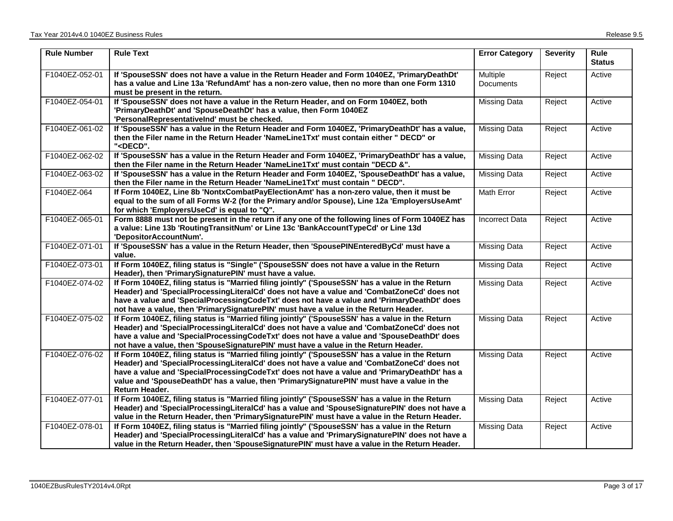| <b>Rule Number</b> | <b>Rule Text</b>                                                                                                                                                                                                                                                                                                                                                                                               | <b>Error Category</b> | <b>Severity</b> | Rule<br><b>Status</b> |
|--------------------|----------------------------------------------------------------------------------------------------------------------------------------------------------------------------------------------------------------------------------------------------------------------------------------------------------------------------------------------------------------------------------------------------------------|-----------------------|-----------------|-----------------------|
| F1040EZ-052-01     | If 'SpouseSSN' does not have a value in the Return Header and Form 1040EZ, 'PrimaryDeathDt'<br>has a value and Line 13a 'RefundAmt' has a non-zero value, then no more than one Form 1310<br>must be present in the return.                                                                                                                                                                                    | Multiple<br>Documents | Reject          | Active                |
| F1040EZ-054-01     | If 'SpouseSSN' does not have a value in the Return Header, and on Form 1040EZ, both<br>'PrimaryDeathDt' and 'SpouseDeathDt' has a value, then Form 1040EZ<br>'PersonalRepresentativelnd' must be checked.                                                                                                                                                                                                      | Missing Data          | Reject          | Active                |
| F1040EZ-061-02     | If 'SpouseSSN' has a value in the Return Header and Form 1040EZ, 'PrimaryDeathDt' has a value,<br>then the Filer name in the Return Header 'NameLine1Txt' must contain either " DECD" or<br>" <decd".< td=""><td><b>Missing Data</b></td><td>Reject</td><td>Active</td></decd".<>                                                                                                                              | <b>Missing Data</b>   | Reject          | Active                |
| F1040EZ-062-02     | If 'SpouseSSN' has a value in the Return Header and Form 1040EZ, 'PrimaryDeathDt' has a value,<br>then the Filer name in the Return Header 'NameLine1Txt' must contain "DECD &".                                                                                                                                                                                                                               | <b>Missing Data</b>   | Reject          | Active                |
| F1040EZ-063-02     | If 'SpouseSSN' has a value in the Return Header and Form 1040EZ, 'SpouseDeathDt' has a value,<br>then the Filer name in the Return Header 'NameLine1Txt' must contain " DECD".                                                                                                                                                                                                                                 | Missing Data          | Reject          | Active                |
| F1040EZ-064        | If Form 1040EZ, Line 8b 'NontxCombatPayElectionAmt' has a non-zero value, then it must be<br>equal to the sum of all Forms W-2 (for the Primary and/or Spouse), Line 12a 'EmployersUseAmt'<br>for which 'EmployersUseCd' is equal to "Q".                                                                                                                                                                      | Math Error            | Reject          | Active                |
| F1040EZ-065-01     | Form 8888 must not be present in the return if any one of the following lines of Form 1040EZ has<br>a value: Line 13b 'RoutingTransitNum' or Line 13c 'BankAccountTypeCd' or Line 13d<br>'DepositorAccountNum'.                                                                                                                                                                                                | <b>Incorrect Data</b> | Reject          | Active                |
| F1040EZ-071-01     | If 'SpouseSSN' has a value in the Return Header, then 'SpousePINEnteredByCd' must have a<br>value.                                                                                                                                                                                                                                                                                                             | <b>Missing Data</b>   | Reject          | Active                |
| F1040EZ-073-01     | If Form 1040EZ, filing status is "Single" ('SpouseSSN' does not have a value in the Return<br>Header), then 'PrimarySignaturePIN' must have a value.                                                                                                                                                                                                                                                           | Missing Data          | Reject          | Active                |
| F1040EZ-074-02     | If Form 1040EZ, filing status is "Married filing jointly" ('SpouseSSN' has a value in the Return<br>Header) and 'SpecialProcessingLiteralCd' does not have a value and 'CombatZoneCd' does not<br>have a value and 'SpecialProcessingCodeTxt' does not have a value and 'PrimaryDeathDt' does<br>not have a value, then 'PrimarySignaturePIN' must have a value in the Return Header.                          | Missing Data          | Reject          | Active                |
| F1040EZ-075-02     | If Form 1040EZ, filing status is "Married filing jointly" ('SpouseSSN' has a value in the Return<br>Header) and 'SpecialProcessingLiteralCd' does not have a value and 'CombatZoneCd' does not<br>have a value and 'SpecialProcessingCodeTxt' does not have a value and 'SpouseDeathDt' does<br>not have a value, then 'SpouseSignaturePIN' must have a value in the Return Header.                            | Missing Data          | Reject          | Active                |
| F1040EZ-076-02     | If Form 1040EZ, filing status is "Married filing jointly" ('SpouseSSN' has a value in the Return<br>Header) and 'SpecialProcessingLiteralCd' does not have a value and 'CombatZoneCd' does not<br>have a value and 'SpecialProcessingCodeTxt' does not have a value and 'PrimaryDeathDt' has a<br>value and 'SpouseDeathDt' has a value, then 'PrimarySignaturePIN' must have a value in the<br>Return Header. | <b>Missing Data</b>   | Reject          | Active                |
| F1040EZ-077-01     | If Form 1040EZ, filing status is "Married filing jointly" ('SpouseSSN' has a value in the Return<br>Header) and 'SpecialProcessingLiteralCd' has a value and 'SpouseSignaturePIN' does not have a<br>value in the Return Header, then 'PrimarySignaturePIN' must have a value in the Return Header.                                                                                                            | <b>Missing Data</b>   | Reject          | Active                |
| F1040EZ-078-01     | If Form 1040EZ, filing status is "Married filing jointly" ('SpouseSSN' has a value in the Return<br>Header) and 'SpecialProcessingLiteralCd' has a value and 'PrimarySignaturePIN' does not have a<br>value in the Return Header, then 'SpouseSignaturePIN' must have a value in the Return Header.                                                                                                            | <b>Missing Data</b>   | Reject          | Active                |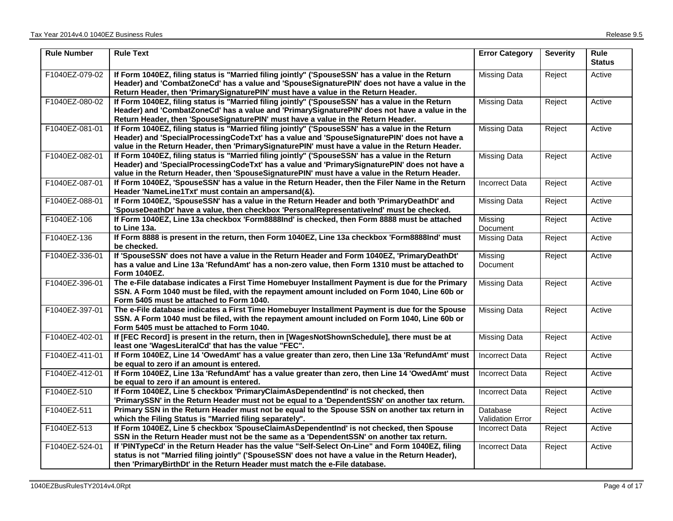| <b>Rule Number</b> | <b>Rule Text</b>                                                                                                                                                                                                                                                                                  | <b>Error Category</b>               | <b>Severity</b> | <b>Rule</b><br><b>Status</b> |
|--------------------|---------------------------------------------------------------------------------------------------------------------------------------------------------------------------------------------------------------------------------------------------------------------------------------------------|-------------------------------------|-----------------|------------------------------|
| F1040EZ-079-02     | If Form 1040EZ, filing status is "Married filing jointly" ('SpouseSSN' has a value in the Return<br>Header) and 'CombatZoneCd' has a value and 'SpouseSignaturePIN' does not have a value in the<br>Return Header, then 'PrimarySignaturePIN' must have a value in the Return Header.             | Missing Data                        | Reject          | Active                       |
| F1040EZ-080-02     | If Form 1040EZ, filing status is "Married filing jointly" ('SpouseSSN' has a value in the Return<br>Header) and 'CombatZoneCd' has a value and 'PrimarySignaturePIN' does not have a value in the<br>Return Header, then 'SpouseSignaturePIN' must have a value in the Return Header.             | <b>Missing Data</b>                 | Reject          | Active                       |
| F1040EZ-081-01     | If Form 1040EZ, filing status is "Married filing jointly" ('SpouseSSN' has a value in the Return<br>Header) and 'SpecialProcessingCodeTxt' has a value and 'SpouseSignaturePIN' does not have a<br>value in the Return Header, then 'PrimarySignaturePIN' must have a value in the Return Header. | Missing Data                        | Reject          | Active                       |
| F1040EZ-082-01     | If Form 1040EZ, filing status is "Married filing jointly" ('SpouseSSN' has a value in the Return<br>Header) and 'SpecialProcessingCodeTxt' has a value and 'PrimarySignaturePIN' does not have a<br>value in the Return Header, then 'SpouseSignaturePIN' must have a value in the Return Header. | <b>Missing Data</b>                 | Reject          | Active                       |
| F1040EZ-087-01     | If Form 1040EZ, 'SpouseSSN' has a value in the Return Header, then the Filer Name in the Return<br>Header 'NameLine1Txt' must contain an ampersand(&).                                                                                                                                            | <b>Incorrect Data</b>               | Reject          | Active                       |
| F1040EZ-088-01     | If Form 1040EZ, 'SpouseSSN' has a value in the Return Header and both 'PrimaryDeathDt' and<br>'SpouseDeathDt' have a value, then checkbox 'PersonalRepresentativelnd' must be checked.                                                                                                            | <b>Missing Data</b>                 | Reject          | Active                       |
| F1040EZ-106        | If Form 1040EZ, Line 13a checkbox 'Form8888Ind' is checked, then Form 8888 must be attached<br>to Line 13a.                                                                                                                                                                                       | Missing<br>Document                 | Reject          | Active                       |
| F1040EZ-136        | If Form 8888 is present in the return, then Form 1040EZ, Line 13a checkbox 'Form8888Ind' must<br>be checked.                                                                                                                                                                                      | <b>Missing Data</b>                 | Reject          | Active                       |
| F1040EZ-336-01     | If 'SpouseSSN' does not have a value in the Return Header and Form 1040EZ, 'PrimaryDeathDt'<br>has a value and Line 13a 'RefundAmt' has a non-zero value, then Form 1310 must be attached to<br>Form 1040EZ.                                                                                      | Missing<br>Document                 | Reject          | Active                       |
| F1040EZ-396-01     | The e-File database indicates a First Time Homebuyer Installment Payment is due for the Primary<br>SSN. A Form 1040 must be filed, with the repayment amount included on Form 1040, Line 60b or<br>Form 5405 must be attached to Form 1040.                                                       | <b>Missing Data</b>                 | Reject          | Active                       |
| F1040EZ-397-01     | The e-File database indicates a First Time Homebuyer Installment Payment is due for the Spouse<br>SSN. A Form 1040 must be filed, with the repayment amount included on Form 1040, Line 60b or<br>Form 5405 must be attached to Form 1040.                                                        | <b>Missing Data</b>                 | Reject          | Active                       |
| F1040EZ-402-01     | If [FEC Record] is present in the return, then in [WagesNotShownSchedule], there must be at<br>least one 'WagesLiteralCd' that has the value "FEC".                                                                                                                                               | <b>Missing Data</b>                 | Reject          | Active                       |
| F1040EZ-411-01     | If Form 1040EZ, Line 14 'OwedAmt' has a value greater than zero, then Line 13a 'RefundAmt' must<br>be equal to zero if an amount is entered.                                                                                                                                                      | <b>Incorrect Data</b>               | Reject          | Active                       |
| F1040EZ-412-01     | If Form 1040EZ, Line 13a 'RefundAmt' has a value greater than zero, then Line 14 'OwedAmt' must<br>be equal to zero if an amount is entered.                                                                                                                                                      | Incorrect Data                      | Reject          | Active                       |
| F1040EZ-510        | If Form 1040EZ, Line 5 checkbox 'PrimaryClaimAsDependentInd' is not checked, then<br>'PrimarySSN' in the Return Header must not be equal to a 'DependentSSN' on another tax return.                                                                                                               | <b>Incorrect Data</b>               | Reject          | Active                       |
| F1040EZ-511        | Primary SSN in the Return Header must not be equal to the Spouse SSN on another tax return in<br>which the Filing Status is "Married filing separately".                                                                                                                                          | Database<br><b>Validation Error</b> | Reject          | Active                       |
| F1040EZ-513        | If Form 1040EZ, Line 5 checkbox 'SpouseClaimAsDependentInd' is not checked, then Spouse<br>SSN in the Return Header must not be the same as a 'DependentSSN' on another tax return.                                                                                                               | <b>Incorrect Data</b>               | Reject          | Active                       |
| F1040EZ-524-01     | If 'PINTypeCd' in the Return Header has the value "Self-Select On-Line" and Form 1040EZ, filing<br>status is not "Married filing jointly" ('SpouseSSN' does not have a value in the Return Header),<br>then 'PrimaryBirthDt' in the Return Header must match the e-File database.                 | <b>Incorrect Data</b>               | Reject          | Active                       |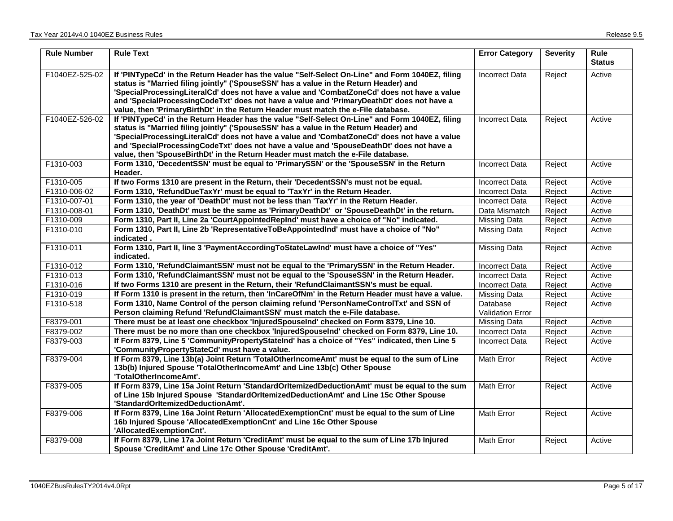| <b>Rule Number</b> | <b>Rule Text</b>                                                                                                                                                                                                                                                                                                                                                                                                                                                          | <b>Error Category</b>               | <b>Severity</b> | Rule<br><b>Status</b> |
|--------------------|---------------------------------------------------------------------------------------------------------------------------------------------------------------------------------------------------------------------------------------------------------------------------------------------------------------------------------------------------------------------------------------------------------------------------------------------------------------------------|-------------------------------------|-----------------|-----------------------|
| F1040EZ-525-02     | If 'PINTypeCd' in the Return Header has the value "Self-Select On-Line" and Form 1040EZ, filing<br>status is "Married filing jointly" ('SpouseSSN' has a value in the Return Header) and<br>'SpecialProcessingLiteralCd' does not have a value and 'CombatZoneCd' does not have a value<br>and 'SpecialProcessingCodeTxt' does not have a value and 'PrimaryDeathDt' does not have a<br>value, then 'PrimaryBirthDt' in the Return Header must match the e-File database. | <b>Incorrect Data</b>               | Reject          | Active                |
| F1040EZ-526-02     | If 'PINTypeCd' in the Return Header has the value "Self-Select On-Line" and Form 1040EZ, filing<br>status is "Married filing jointly" ('SpouseSSN' has a value in the Return Header) and<br>'SpecialProcessingLiteralCd' does not have a value and 'CombatZoneCd' does not have a value<br>and 'SpecialProcessingCodeTxt' does not have a value and 'SpouseDeathDt' does not have a<br>value, then 'SpouseBirthDt' in the Return Header must match the e-File database.   | <b>Incorrect Data</b>               | Reject          | Active                |
| F1310-003          | Form 1310, 'DecedentSSN' must be equal to 'PrimarySSN' or the 'SpouseSSN' in the Return<br>Header.                                                                                                                                                                                                                                                                                                                                                                        | <b>Incorrect Data</b>               | Reject          | Active                |
| F1310-005          | If two Forms 1310 are present in the Return, their 'DecedentSSN's must not be equal.                                                                                                                                                                                                                                                                                                                                                                                      | Incorrect Data                      | Reject          | Active                |
| F1310-006-02       | Form 1310, 'RefundDueTaxYr' must be equal to 'TaxYr' in the Return Header.                                                                                                                                                                                                                                                                                                                                                                                                | <b>Incorrect Data</b>               | Reject          | Active                |
| F1310-007-01       | Form 1310, the year of 'DeathDt' must not be less than 'TaxYr' in the Return Header.                                                                                                                                                                                                                                                                                                                                                                                      | <b>Incorrect Data</b>               | Reject          | Active                |
| F1310-008-01       | Form 1310, 'DeathDt' must be the same as 'PrimaryDeathDt' or 'SpouseDeathDt' in the return.                                                                                                                                                                                                                                                                                                                                                                               | Data Mismatch                       | Reject          | Active                |
| F1310-009          | Form 1310, Part II, Line 2a 'CourtAppointedRepInd' must have a choice of "No" indicated.                                                                                                                                                                                                                                                                                                                                                                                  | Missing Data                        | Reject          | Active                |
| F1310-010          | Form 1310, Part II, Line 2b 'RepresentativeToBeAppointedInd' must have a choice of "No"<br>indicated.                                                                                                                                                                                                                                                                                                                                                                     | <b>Missing Data</b>                 | Reject          | Active                |
| F1310-011          | Form 1310, Part II, line 3 'PaymentAccordingToStateLawInd' must have a choice of "Yes"<br>indicated.                                                                                                                                                                                                                                                                                                                                                                      | <b>Missing Data</b>                 | Reject          | Active                |
| F1310-012          | Form 1310, 'RefundClaimantSSN' must not be equal to the 'PrimarySSN' in the Return Header.                                                                                                                                                                                                                                                                                                                                                                                | <b>Incorrect Data</b>               | Reject          | Active                |
| F1310-013          | Form 1310, 'RefundClaimantSSN' must not be equal to the 'SpouseSSN' in the Return Header.                                                                                                                                                                                                                                                                                                                                                                                 | <b>Incorrect Data</b>               | Reject          | Active                |
| F1310-016          | If two Forms 1310 are present in the Return, their 'RefundClaimantSSN's must be equal.                                                                                                                                                                                                                                                                                                                                                                                    | <b>Incorrect Data</b>               | Reject          | Active                |
| F1310-019          | If Form 1310 is present in the return, then 'InCareOfNm' in the Return Header must have a value.                                                                                                                                                                                                                                                                                                                                                                          | <b>Missing Data</b>                 | Reject          | Active                |
| F1310-518          | Form 1310, Name Control of the person claiming refund 'PersonNameControlTxt' and SSN of<br>Person claiming Refund 'RefundClaimantSSN' must match the e-File database.                                                                                                                                                                                                                                                                                                     | Database<br><b>Validation Error</b> | Reject          | Active                |
| F8379-001          | There must be at least one checkbox 'InjuredSpouseInd' checked on Form 8379, Line 10.                                                                                                                                                                                                                                                                                                                                                                                     | <b>Missing Data</b>                 | Reject          | Active                |
| F8379-002          | There must be no more than one checkbox 'InjuredSpouseInd' checked on Form 8379, Line 10.                                                                                                                                                                                                                                                                                                                                                                                 | <b>Incorrect Data</b>               | Reject          | Active                |
| F8379-003          | If Form 8379, Line 5 'CommunityPropertyStateInd' has a choice of "Yes" indicated, then Line 5<br>'CommunityPropertyStateCd' must have a value.                                                                                                                                                                                                                                                                                                                            | <b>Incorrect Data</b>               | Reject          | Active                |
| F8379-004          | If Form 8379, Line 13b(a) Joint Return 'TotalOtherIncomeAmt' must be equal to the sum of Line<br>13b(b) Injured Spouse 'TotalOtherIncomeAmt' and Line 13b(c) Other Spouse<br>'TotalOtherIncomeAmt'.                                                                                                                                                                                                                                                                       | Math Error                          | Reject          | Active                |
| F8379-005          | If Form 8379, Line 15a Joint Return 'StandardOrltemizedDeductionAmt' must be equal to the sum<br>of Line 15b Injured Spouse 'StandardOrItemizedDeductionAmt' and Line 15c Other Spouse<br>'StandardOrItemizedDeductionAmt'.                                                                                                                                                                                                                                               | <b>Math Error</b>                   | Reject          | Active                |
| F8379-006          | If Form 8379, Line 16a Joint Return 'AllocatedExemptionCnt' must be equal to the sum of Line<br>16b Injured Spouse 'AllocatedExemptionCnt' and Line 16c Other Spouse<br>'AllocatedExemptionCnt'.                                                                                                                                                                                                                                                                          | <b>Math Error</b>                   | Reject          | Active                |
| F8379-008          | If Form 8379, Line 17a Joint Return 'CreditAmt' must be equal to the sum of Line 17b Injured<br>Spouse 'CreditAmt' and Line 17c Other Spouse 'CreditAmt'.                                                                                                                                                                                                                                                                                                                 | Math Error                          | Reject          | Active                |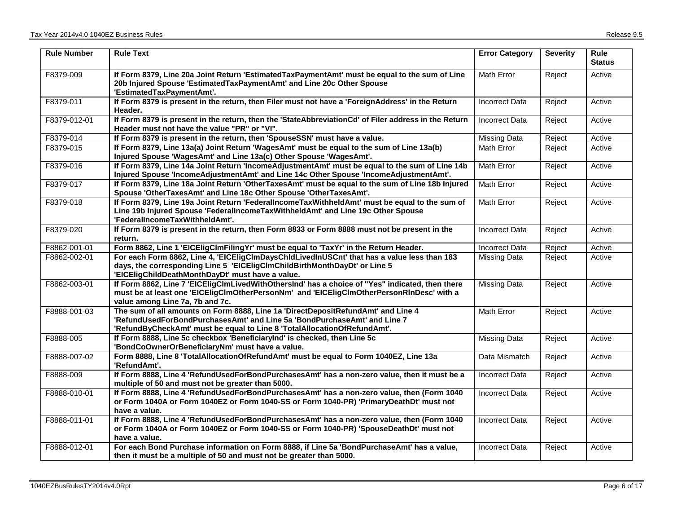| <b>Rule Number</b> | <b>Rule Text</b>                                                                                                                                                                                                                         | <b>Error Category</b> | <b>Severity</b> | Rule<br><b>Status</b> |
|--------------------|------------------------------------------------------------------------------------------------------------------------------------------------------------------------------------------------------------------------------------------|-----------------------|-----------------|-----------------------|
| F8379-009          | If Form 8379, Line 20a Joint Return 'EstimatedTaxPaymentAmt' must be equal to the sum of Line<br>20b Injured Spouse 'EstimatedTaxPaymentAmt' and Line 20c Other Spouse<br>'EstimatedTaxPaymentAmt'.                                      | Math Error            | Reject          | Active                |
| F8379-011          | If Form 8379 is present in the return, then Filer must not have a 'ForeignAddress' in the Return<br>Header.                                                                                                                              | <b>Incorrect Data</b> | Reject          | Active                |
| F8379-012-01       | If Form 8379 is present in the return, then the 'StateAbbreviationCd' of Filer address in the Return<br>Header must not have the value "PR" or "VI".                                                                                     | <b>Incorrect Data</b> | Reject          | Active                |
| F8379-014          | If Form 8379 is present in the return, then 'SpouseSSN' must have a value.                                                                                                                                                               | <b>Missing Data</b>   | Reject          | Active                |
| F8379-015          | If Form 8379, Line 13a(a) Joint Return 'WagesAmt' must be equal to the sum of Line 13a(b)<br>Injured Spouse 'WagesAmt' and Line 13a(c) Other Spouse 'WagesAmt'.                                                                          | Math Error            | Reject          | Active                |
| F8379-016          | If Form 8379, Line 14a Joint Return 'IncomeAdjustmentAmt' must be equal to the sum of Line 14b<br>Injured Spouse 'IncomeAdjustmentAmt' and Line 14c Other Spouse 'IncomeAdjustmentAmt'.                                                  | Math Error            | Reject          | Active                |
| F8379-017          | If Form 8379, Line 18a Joint Return 'OtherTaxesAmt' must be equal to the sum of Line 18b Injured<br>Spouse 'OtherTaxesAmt' and Line 18c Other Spouse 'OtherTaxesAmt'.                                                                    | <b>Math Error</b>     | Reject          | Active                |
| F8379-018          | If Form 8379, Line 19a Joint Return 'FederalIncomeTaxWithheldAmt' must be equal to the sum of<br>Line 19b Injured Spouse 'FederallncomeTaxWithheldAmt' and Line 19c Other Spouse<br>'FederalIncomeTaxWithheldAmt'.                       | <b>Math Error</b>     | Reject          | Active                |
| F8379-020          | If Form 8379 is present in the return, then Form 8833 or Form 8888 must not be present in the<br>return.                                                                                                                                 | <b>Incorrect Data</b> | Reject          | Active                |
| F8862-001-01       | Form 8862, Line 1 'EICEligClmFilingYr' must be equal to 'TaxYr' in the Return Header.                                                                                                                                                    | <b>Incorrect Data</b> | Reject          | Active                |
| F8862-002-01       | For each Form 8862, Line 4, 'EICEligClmDaysChldLivedInUSCnt' that has a value less than 183<br>days, the corresponding Line 5 'EICEligClmChildBirthMonthDayDt' or Line 5<br>'EICEligChildDeathMonthDayDt' must have a value.             | <b>Missing Data</b>   | Reject          | Active                |
| F8862-003-01       | If Form 8862, Line 7 'EICEligClmLivedWithOthersInd' has a choice of "Yes" indicated, then there<br>must be at least one 'EICEIigClmOtherPersonNm' and 'EICEIigClmOtherPersonRInDesc' with a<br>value among Line 7a, 7b and 7c.           | <b>Missing Data</b>   | Reject          | Active                |
| F8888-001-03       | The sum of all amounts on Form 8888, Line 1a 'DirectDepositRefundAmt' and Line 4<br>'RefundUsedForBondPurchasesAmt' and Line 5a 'BondPurchaseAmt' and Line 7<br>'RefundByCheckAmt' must be equal to Line 8 'TotalAllocationOfRefundAmt'. | <b>Math Error</b>     | Reject          | Active                |
| F8888-005          | If Form 8888, Line 5c checkbox 'BeneficiaryInd' is checked, then Line 5c<br>'BondCoOwnerOrBeneficiaryNm' must have a value.                                                                                                              | <b>Missing Data</b>   | Reject          | Active                |
| F8888-007-02       | Form 8888, Line 8 'TotalAllocationOfRefundAmt' must be equal to Form 1040EZ, Line 13a<br>'RefundAmt'.                                                                                                                                    | Data Mismatch         | Reject          | Active                |
| F8888-009          | If Form 8888, Line 4 'RefundUsedForBondPurchasesAmt' has a non-zero value, then it must be a<br>multiple of 50 and must not be greater than 5000.                                                                                        | <b>Incorrect Data</b> | Reject          | Active                |
| F8888-010-01       | If Form 8888, Line 4 'RefundUsedForBondPurchasesAmt' has a non-zero value, then (Form 1040<br>or Form 1040A or Form 1040EZ or Form 1040-SS or Form 1040-PR) 'PrimaryDeathDt' must not<br>have a value.                                   | <b>Incorrect Data</b> | Reject          | Active                |
| F8888-011-01       | If Form 8888, Line 4 'RefundUsedForBondPurchasesAmt' has a non-zero value, then (Form 1040<br>or Form 1040A or Form 1040EZ or Form 1040-SS or Form 1040-PR) 'SpouseDeathDt' must not<br>have a value.                                    | <b>Incorrect Data</b> | Reject          | Active                |
| F8888-012-01       | For each Bond Purchase information on Form 8888, if Line 5a 'BondPurchaseAmt' has a value,<br>then it must be a multiple of 50 and must not be greater than 5000.                                                                        | <b>Incorrect Data</b> | Reject          | Active                |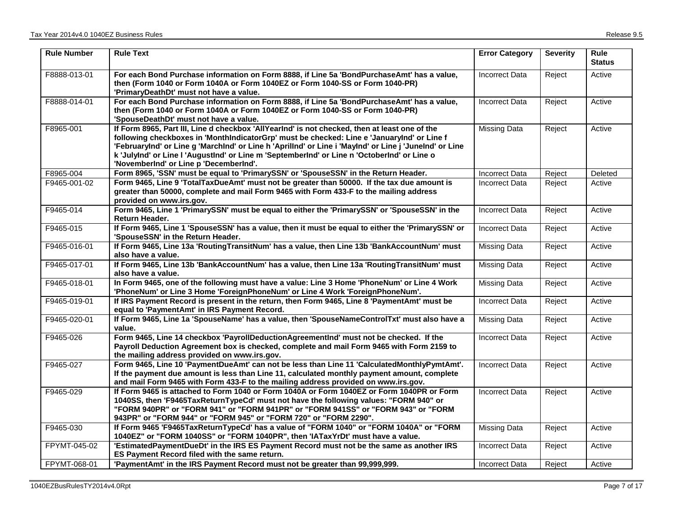| <b>Rule Number</b> | <b>Rule Text</b>                                                                                                                                                                                                                                                                                                                                                                                                                               | <b>Error Category</b> | <b>Severity</b> | <b>Rule</b><br><b>Status</b> |
|--------------------|------------------------------------------------------------------------------------------------------------------------------------------------------------------------------------------------------------------------------------------------------------------------------------------------------------------------------------------------------------------------------------------------------------------------------------------------|-----------------------|-----------------|------------------------------|
| F8888-013-01       | For each Bond Purchase information on Form 8888, if Line 5a 'BondPurchaseAmt' has a value,<br>then (Form 1040 or Form 1040A or Form 1040EZ or Form 1040-SS or Form 1040-PR)<br>'PrimaryDeathDt' must not have a value.                                                                                                                                                                                                                         | <b>Incorrect Data</b> | Reject          | Active                       |
| F8888-014-01       | For each Bond Purchase information on Form 8888, if Line 5a 'BondPurchaseAmt' has a value,<br>then (Form 1040 or Form 1040A or Form 1040EZ or Form 1040-SS or Form 1040-PR)<br>'SpouseDeathDt' must not have a value.                                                                                                                                                                                                                          | <b>Incorrect Data</b> | Reject          | Active                       |
| F8965-001          | If Form 8965, Part III, Line d checkbox 'AllYearInd' is not checked, then at least one of the<br>following checkboxes in 'MonthIndicatorGrp' must be checked: Line e 'JanuaryInd' or Line f<br>'FebruaryInd' or Line g 'MarchInd' or Line h 'AprilInd' or Line i 'MayInd' or Line j 'JuneInd' or Line<br>k 'JulyInd' or Line I 'AugustInd' or Line m 'SeptemberInd' or Line n 'OctoberInd' or Line o<br>'NovemberInd' or Line p 'DecemberInd'. | Missing Data          | Reject          | Active                       |
| F8965-004          | Form 8965, 'SSN' must be equal to 'PrimarySSN' or 'SpouseSSN' in the Return Header.                                                                                                                                                                                                                                                                                                                                                            | <b>Incorrect Data</b> | Reject          | Deleted                      |
| F9465-001-02       | Form 9465, Line 9 'TotalTaxDueAmt' must not be greater than 50000. If the tax due amount is<br>greater than 50000, complete and mail Form 9465 with Form 433-F to the mailing address<br>provided on www.irs.gov.                                                                                                                                                                                                                              | Incorrect Data        | Reject          | Active                       |
| F9465-014          | Form 9465, Line 1 'PrimarySSN' must be equal to either the 'PrimarySSN' or 'SpouseSSN' in the<br><b>Return Header.</b>                                                                                                                                                                                                                                                                                                                         | Incorrect Data        | Reject          | Active                       |
| F9465-015          | If Form 9465, Line 1 'SpouseSSN' has a value, then it must be equal to either the 'PrimarySSN' or<br>'SpouseSSN' in the Return Header.                                                                                                                                                                                                                                                                                                         | Incorrect Data        | Reject          | Active                       |
| F9465-016-01       | If Form 9465, Line 13a 'RoutingTransitNum' has a value, then Line 13b 'BankAccountNum' must<br>also have a value.                                                                                                                                                                                                                                                                                                                              | <b>Missing Data</b>   | Reject          | Active                       |
| F9465-017-01       | If Form 9465, Line 13b 'BankAccountNum' has a value, then Line 13a 'RoutingTransitNum' must<br>also have a value.                                                                                                                                                                                                                                                                                                                              | Missing Data          | Reject          | Active                       |
| F9465-018-01       | In Form 9465, one of the following must have a value: Line 3 Home 'PhoneNum' or Line 4 Work<br>'PhoneNum' or Line 3 Home 'ForeignPhoneNum' or Line 4 Work 'ForeignPhoneNum'.                                                                                                                                                                                                                                                                   | <b>Missing Data</b>   | Reject          | Active                       |
| F9465-019-01       | If IRS Payment Record is present in the return, then Form 9465, Line 8 'PaymentAmt' must be<br>equal to 'PaymentAmt' in IRS Payment Record.                                                                                                                                                                                                                                                                                                    | <b>Incorrect Data</b> | Reject          | Active                       |
| F9465-020-01       | If Form 9465, Line 1a 'SpouseName' has a value, then 'SpouseNameControlTxt' must also have a<br>value.                                                                                                                                                                                                                                                                                                                                         | <b>Missing Data</b>   | Reject          | Active                       |
| F9465-026          | Form 9465, Line 14 checkbox 'PayrollDeductionAgreementInd' must not be checked. If the<br>Payroll Deduction Agreement box is checked, complete and mail Form 9465 with Form 2159 to<br>the mailing address provided on www.irs.gov.                                                                                                                                                                                                            | <b>Incorrect Data</b> | Reject          | Active                       |
| F9465-027          | Form 9465, Line 10 'PaymentDueAmt' can not be less than Line 11 'CalculatedMonthlyPymtAmt'.<br>If the payment due amount is less than Line 11, calculated monthly payment amount, complete<br>and mail Form 9465 with Form 433-F to the mailing address provided on www.irs.gov.                                                                                                                                                               | <b>Incorrect Data</b> | Reject          | Active                       |
| F9465-029          | If Form 9465 is attached to Form 1040 or Form 1040A or Form 1040EZ or Form 1040PR or Form<br>1040SS, then 'F9465TaxReturnTypeCd' must not have the following values: "FORM 940" or<br>"FORM 940PR" or "FORM 941" or "FORM 941PR" or "FORM 941SS" or "FORM 943" or "FORM<br>943PR" or "FORM 944" or "FORM 945" or "FORM 720" or "FORM 2290".                                                                                                    | <b>Incorrect Data</b> | Reject          | Active                       |
| F9465-030          | If Form 9465 'F9465TaxReturnTypeCd' has a value of "FORM 1040" or "FORM 1040A" or "FORM<br>1040EZ" or "FORM 1040SS" or "FORM 1040PR", then 'IATaxYrDt' must have a value.                                                                                                                                                                                                                                                                      | <b>Missing Data</b>   | Reject          | Active                       |
| FPYMT-045-02       | 'EstimatedPaymentDueDt' in the IRS ES Payment Record must not be the same as another IRS<br>ES Payment Record filed with the same return.                                                                                                                                                                                                                                                                                                      | <b>Incorrect Data</b> | Reject          | Active                       |
| FPYMT-068-01       | 'PaymentAmt' in the IRS Payment Record must not be greater than 99,999,999.                                                                                                                                                                                                                                                                                                                                                                    | Incorrect Data        | Reject          | Active                       |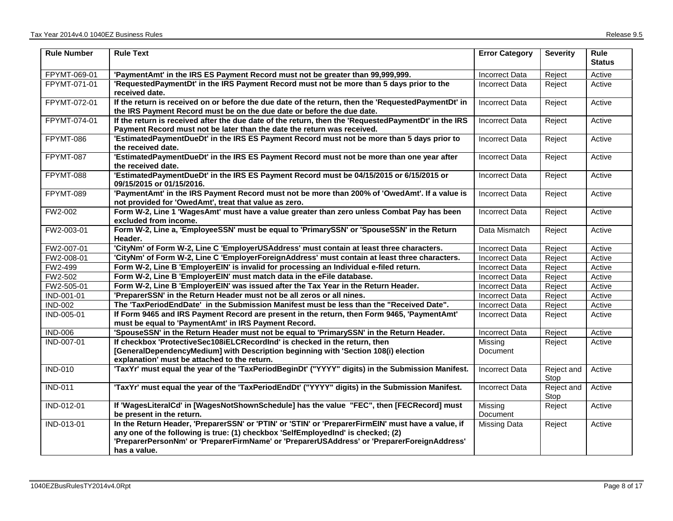| <b>Rule Number</b> | <b>Rule Text</b>                                                                                                                                                                                                                                                                                      | <b>Error Category</b> | <b>Severity</b>    | <b>Rule</b><br><b>Status</b> |
|--------------------|-------------------------------------------------------------------------------------------------------------------------------------------------------------------------------------------------------------------------------------------------------------------------------------------------------|-----------------------|--------------------|------------------------------|
| FPYMT-069-01       | 'PaymentAmt' in the IRS ES Payment Record must not be greater than 99,999,999.                                                                                                                                                                                                                        | Incorrect Data        | Reject             | Active                       |
| FPYMT-071-01       | 'RequestedPaymentDt' in the IRS Payment Record must not be more than 5 days prior to the<br>received date.                                                                                                                                                                                            | Incorrect Data        | Reject             | Active                       |
| FPYMT-072-01       | If the return is received on or before the due date of the return, then the 'RequestedPaymentDt' in<br>the IRS Payment Record must be on the due date or before the due date.                                                                                                                         | Incorrect Data        | Reject             | Active                       |
| FPYMT-074-01       | If the return is received after the due date of the return, then the 'RequestedPaymentDt' in the IRS<br>Payment Record must not be later than the date the return was received.                                                                                                                       | <b>Incorrect Data</b> | Reject             | Active                       |
| FPYMT-086          | 'EstimatedPaymentDueDt' in the IRS ES Payment Record must not be more than 5 days prior to<br>the received date.                                                                                                                                                                                      | <b>Incorrect Data</b> | Reject             | Active                       |
| FPYMT-087          | 'EstimatedPaymentDueDt' in the IRS ES Payment Record must not be more than one year after<br>the received date.                                                                                                                                                                                       | Incorrect Data        | Reject             | Active                       |
| FPYMT-088          | 'EstimatedPaymentDueDt' in the IRS ES Payment Record must be 04/15/2015 or 6/15/2015 or<br>09/15/2015 or 01/15/2016.                                                                                                                                                                                  | <b>Incorrect Data</b> | Reject             | Active                       |
| FPYMT-089          | 'PaymentAmt' in the IRS Payment Record must not be more than 200% of 'OwedAmt'. If a value is<br>not provided for 'OwedAmt', treat that value as zero.                                                                                                                                                | <b>Incorrect Data</b> | Reject             | Active                       |
| FW2-002            | Form W-2, Line 1 'WagesAmt' must have a value greater than zero unless Combat Pay has been<br>excluded from income.                                                                                                                                                                                   | <b>Incorrect Data</b> | Reject             | Active                       |
| FW2-003-01         | Form W-2, Line a, 'EmployeeSSN' must be equal to 'PrimarySSN' or 'SpouseSSN' in the Return<br>Header.                                                                                                                                                                                                 | Data Mismatch         | Reject             | Active                       |
| FW2-007-01         | 'CityNm' of Form W-2, Line C 'EmployerUSAddress' must contain at least three characters.                                                                                                                                                                                                              | <b>Incorrect Data</b> | Reject             | Active                       |
| FW2-008-01         | 'CityNm' of Form W-2, Line C 'EmployerForeignAddress' must contain at least three characters.                                                                                                                                                                                                         | <b>Incorrect Data</b> | Reject             | Active                       |
| FW2-499            | Form W-2, Line B 'EmployerEIN' is invalid for processing an Individual e-filed return.                                                                                                                                                                                                                | <b>Incorrect Data</b> | Reject             | Active                       |
| FW2-502            | Form W-2, Line B 'EmployerEIN' must match data in the eFile database.                                                                                                                                                                                                                                 | <b>Incorrect Data</b> | Reject             | Active                       |
| FW2-505-01         | Form W-2, Line B 'EmployerEIN' was issued after the Tax Year in the Return Header.                                                                                                                                                                                                                    | <b>Incorrect Data</b> | Reject             | Active                       |
| IND-001-01         | 'PreparerSSN' in the Return Header must not be all zeros or all nines.                                                                                                                                                                                                                                | <b>Incorrect Data</b> | Reject             | Active                       |
| <b>IND-002</b>     | The 'TaxPeriodEndDate' in the Submission Manifest must be less than the "Received Date".                                                                                                                                                                                                              | Incorrect Data        | Reject             | Active                       |
| IND-005-01         | If Form 9465 and IRS Payment Record are present in the return, then Form 9465, 'PaymentAmt'<br>must be equal to 'PaymentAmt' in IRS Payment Record.                                                                                                                                                   | <b>Incorrect Data</b> | Reject             | Active                       |
| <b>IND-006</b>     | 'SpouseSSN' in the Return Header must not be equal to 'PrimarySSN' in the Return Header.                                                                                                                                                                                                              | <b>Incorrect Data</b> | Reject             | Active                       |
| IND-007-01         | If checkbox 'ProtectiveSec108iELCRecordInd' is checked in the return, then<br>[GeneralDependencyMedium] with Description beginning with 'Section 108(i) election<br>explanation' must be attached to the return.                                                                                      | Missing<br>Document   | Reject             | Active                       |
| <b>IND-010</b>     | 'TaxYr' must equal the year of the 'TaxPeriodBeginDt' ("YYYY" digits) in the Submission Manifest.                                                                                                                                                                                                     | <b>Incorrect Data</b> | Reject and<br>Stop | Active                       |
| <b>IND-011</b>     | 'TaxYr' must equal the year of the 'TaxPeriodEndDt' ("YYYY" digits) in the Submission Manifest.                                                                                                                                                                                                       | Incorrect Data        | Reject and<br>Stop | Active                       |
| IND-012-01         | If 'WagesLiteralCd' in [WagesNotShownSchedule] has the value "FEC", then [FECRecord] must<br>be present in the return.                                                                                                                                                                                | Missing<br>Document   | Reject             | Active                       |
| IND-013-01         | In the Return Header, 'PreparerSSN' or 'PTIN' or 'STIN' or 'PreparerFirmEIN' must have a value, if<br>any one of the following is true: (1) checkbox 'SelfEmployedInd' is checked; (2)<br>'PreparerPersonNm' or 'PreparerFirmName' or 'PreparerUSAddress' or 'PreparerForeignAddress'<br>has a value. | Missing Data          | Reject             | Active                       |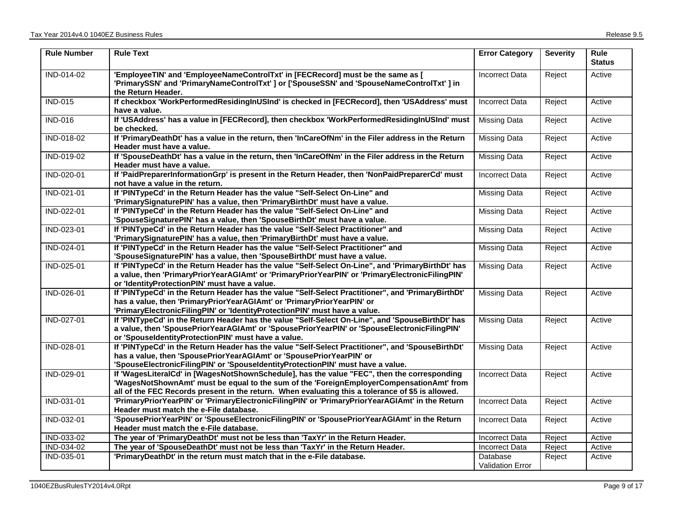| <b>Rule Number</b> | <b>Rule Text</b>                                                                                                                                                                                                                                                                             | <b>Error Category</b>               | <b>Severity</b> | <b>Rule</b><br><b>Status</b> |
|--------------------|----------------------------------------------------------------------------------------------------------------------------------------------------------------------------------------------------------------------------------------------------------------------------------------------|-------------------------------------|-----------------|------------------------------|
| IND-014-02         | 'EmployeeTIN' and 'EmployeeNameControlTxt' in [FECRecord] must be the same as [<br>'PrimarySSN' and 'PrimaryNameControlTxt' ] or ['SpouseSSN' and 'SpouseNameControlTxt' ] in<br>the Return Header.                                                                                          | <b>Incorrect Data</b>               | Reject          | Active                       |
| <b>IND-015</b>     | If checkbox 'WorkPerformedResidingInUSInd' is checked in [FECRecord], then 'USAddress' must<br>have a value.                                                                                                                                                                                 | <b>Incorrect Data</b>               | Reject          | Active                       |
| <b>IND-016</b>     | If 'USAddress' has a value in [FECRecord], then checkbox 'WorkPerformedResidingInUSInd' must<br>be checked.                                                                                                                                                                                  | <b>Missing Data</b>                 | Reject          | Active                       |
| IND-018-02         | If 'PrimaryDeathDt' has a value in the return, then 'InCareOfNm' in the Filer address in the Return<br>Header must have a value.                                                                                                                                                             | <b>Missing Data</b>                 | Reject          | Active                       |
| IND-019-02         | If 'SpouseDeathDt' has a value in the return, then 'InCareOfNm' in the Filer address in the Return<br>Header must have a value.                                                                                                                                                              | <b>Missing Data</b>                 | Reject          | Active                       |
| IND-020-01         | If 'PaidPreparerInformationGrp' is present in the Return Header, then 'NonPaidPreparerCd' must<br>not have a value in the return.                                                                                                                                                            | <b>Incorrect Data</b>               | Reject          | Active                       |
| IND-021-01         | If 'PINTypeCd' in the Return Header has the value "Self-Select On-Line" and<br>'PrimarySignaturePIN' has a value, then 'PrimaryBirthDt' must have a value.                                                                                                                                   | <b>Missing Data</b>                 | Reject          | Active                       |
| IND-022-01         | If 'PINTypeCd' in the Return Header has the value "Self-Select On-Line" and<br>'SpouseSignaturePIN' has a value, then 'SpouseBirthDt' must have a value.                                                                                                                                     | <b>Missing Data</b>                 | Reject          | Active                       |
| IND-023-01         | If 'PINTypeCd' in the Return Header has the value "Self-Select Practitioner" and<br>'PrimarySignaturePIN' has a value, then 'PrimaryBirthDt' must have a value.                                                                                                                              | <b>Missing Data</b>                 | Reject          | Active                       |
| IND-024-01         | If 'PINTypeCd' in the Return Header has the value "Self-Select Practitioner" and<br>'SpouseSignaturePIN' has a value, then 'SpouseBirthDt' must have a value.                                                                                                                                | <b>Missing Data</b>                 | Reject          | Active                       |
| IND-025-01         | If 'PINTypeCd' in the Return Header has the value "Self-Select On-Line", and 'PrimaryBirthDt' has<br>a value, then 'PrimaryPriorYearAGIAmt' or 'PrimaryPriorYearPIN' or 'PrimaryElectronicFilingPIN'<br>or 'IdentityProtectionPIN' must have a value.                                        | <b>Missing Data</b>                 | Reject          | Active                       |
| IND-026-01         | If 'PINTypeCd' in the Return Header has the value "Self-Select Practitioner", and 'PrimaryBirthDt'<br>has a value, then 'PrimaryPriorYearAGIAmt' or 'PrimaryPriorYearPIN' or<br>'PrimaryElectronicFilingPIN' or 'IdentityProtectionPIN' must have a value.                                   | <b>Missing Data</b>                 | Reject          | Active                       |
| IND-027-01         | If 'PINTypeCd' in the Return Header has the value "Self-Select On-Line", and 'SpouseBirthDt' has<br>a value, then 'SpousePriorYearAGIAmt' or 'SpousePriorYearPIN' or 'SpouseElectronicFilingPIN'<br>or 'SpouseIdentityProtectionPIN' must have a value.                                      | <b>Missing Data</b>                 | Reject          | Active                       |
| IND-028-01         | If 'PINTypeCd' in the Return Header has the value "Self-Select Practitioner", and 'SpouseBirthDt'<br>has a value, then 'SpousePriorYearAGIAmt' or 'SpousePriorYearPIN' or<br>'SpouseElectronicFilingPIN' or 'SpouseIdentityProtectionPIN' must have a value.                                 | <b>Missing Data</b>                 | Reject          | Active                       |
| IND-029-01         | If 'WagesLiteralCd' in [WagesNotShownSchedule], has the value "FEC", then the corresponding<br>'WagesNotShownAmt' must be equal to the sum of the 'ForeignEmployerCompensationAmt' from<br>all of the FEC Records present in the return. When evaluating this a tolerance of \$5 is allowed. | <b>Incorrect Data</b>               | Reject          | Active                       |
| IND-031-01         | 'PrimaryPriorYearPIN' or 'PrimaryElectronicFilingPIN' or 'PrimaryPriorYearAGIAmt' in the Return<br>Header must match the e-File database.                                                                                                                                                    | <b>Incorrect Data</b>               | Reject          | Active                       |
| IND-032-01         | 'SpousePriorYearPIN' or 'SpouseElectronicFilingPIN' or 'SpousePriorYearAGIAmt' in the Return<br>Header must match the e-File database.                                                                                                                                                       | <b>Incorrect Data</b>               | Reject          | Active                       |
| IND-033-02         | The year of 'PrimaryDeathDt' must not be less than 'TaxYr' in the Return Header.                                                                                                                                                                                                             | <b>Incorrect Data</b>               | Reject          | Active                       |
| IND-034-02         | The year of 'SpouseDeathDt' must not be less than 'TaxYr' in the Return Header.                                                                                                                                                                                                              | <b>Incorrect Data</b>               | Reject          | Active                       |
| IND-035-01         | 'PrimaryDeathDt' in the return must match that in the e-File database.                                                                                                                                                                                                                       | Database<br><b>Validation Error</b> | Reject          | Active                       |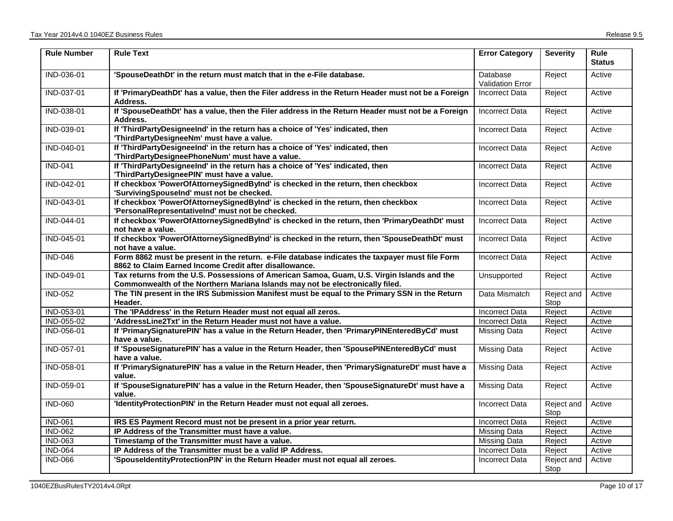| <b>Rule Number</b> | <b>Rule Text</b>                                                                                                                                                            | <b>Error Category</b>        | <b>Severity</b>    | <b>Rule</b><br><b>Status</b> |
|--------------------|-----------------------------------------------------------------------------------------------------------------------------------------------------------------------------|------------------------------|--------------------|------------------------------|
| IND-036-01         | 'SpouseDeathDt' in the return must match that in the e-File database.                                                                                                       | Database<br>Validation Error | Reject             | Active                       |
| IND-037-01         | If 'PrimaryDeathDt' has a value, then the Filer address in the Return Header must not be a Foreign<br>Address.                                                              | <b>Incorrect Data</b>        | Reject             | Active                       |
| IND-038-01         | If 'SpouseDeathDt' has a value, then the Filer address in the Return Header must not be a Foreign<br>Address.                                                               | <b>Incorrect Data</b>        | Reject             | Active                       |
| IND-039-01         | If 'ThirdPartyDesigneeInd' in the return has a choice of 'Yes' indicated, then<br>'ThirdPartyDesigneeNm' must have a value.                                                 | <b>Incorrect Data</b>        | Reject             | Active                       |
| IND-040-01         | If 'ThirdPartyDesigneeInd' in the return has a choice of 'Yes' indicated, then<br>'ThirdPartyDesigneePhoneNum' must have a value.                                           | <b>Incorrect Data</b>        | Reject             | Active                       |
| <b>IND-041</b>     | If 'ThirdPartyDesigneeInd' in the return has a choice of 'Yes' indicated, then<br>'ThirdPartyDesigneePIN' must have a value.                                                | <b>Incorrect Data</b>        | Reject             | Active                       |
| IND-042-01         | If checkbox 'PowerOfAttorneySignedByInd' is checked in the return, then checkbox<br>'SurvivingSpouseInd' must not be checked.                                               | <b>Incorrect Data</b>        | Reject             | Active                       |
| IND-043-01         | If checkbox 'PowerOfAttorneySignedByInd' is checked in the return, then checkbox<br>'PersonalRepresentativelnd' must not be checked.                                        | <b>Incorrect Data</b>        | Reject             | Active                       |
| IND-044-01         | If checkbox 'PowerOfAttorneySignedByInd' is checked in the return, then 'PrimaryDeathDt' must<br>not have a value.                                                          | <b>Incorrect Data</b>        | Reject             | Active                       |
| IND-045-01         | If checkbox 'PowerOfAttorneySignedByInd' is checked in the return, then 'SpouseDeathDt' must<br>not have a value.                                                           | <b>Incorrect Data</b>        | Reject             | Active                       |
| <b>IND-046</b>     | Form 8862 must be present in the return. e-File database indicates the taxpayer must file Form<br>8862 to Claim Earned Income Credit after disallowance.                    | <b>Incorrect Data</b>        | Reject             | Active                       |
| IND-049-01         | Tax returns from the U.S. Possessions of American Samoa, Guam, U.S. Virgin Islands and the<br>Commonwealth of the Northern Mariana Islands may not be electronically filed. | Unsupported                  | Reject             | Active                       |
| <b>IND-052</b>     | The TIN present in the IRS Submission Manifest must be equal to the Primary SSN in the Return<br>Header.                                                                    | Data Mismatch                | Reject and<br>Stop | Active                       |
| IND-053-01         | The 'IPAddress' in the Return Header must not equal all zeros.                                                                                                              | <b>Incorrect Data</b>        | Reject             | Active                       |
| IND-055-02         | 'AddressLine2Txt' in the Return Header must not have a value.                                                                                                               | <b>Incorrect Data</b>        | Reject             | Active                       |
| IND-056-01         | If 'PrimarySignaturePIN' has a value in the Return Header, then 'PrimaryPINEnteredByCd' must<br>have a value.                                                               | <b>Missing Data</b>          | Reject             | Active                       |
| IND-057-01         | If 'SpouseSignaturePIN' has a value in the Return Header, then 'SpousePINEnteredByCd' must<br>have a value.                                                                 | <b>Missing Data</b>          | Reject             | Active                       |
| IND-058-01         | If 'PrimarySignaturePIN' has a value in the Return Header, then 'PrimarySignatureDt' must have a<br>value.                                                                  | <b>Missing Data</b>          | Reject             | Active                       |
| IND-059-01         | If 'SpouseSignaturePIN' has a value in the Return Header, then 'SpouseSignatureDt' must have a<br>value.                                                                    | <b>Missing Data</b>          | Reject             | Active                       |
| <b>IND-060</b>     | 'IdentityProtectionPIN' in the Return Header must not equal all zeroes.                                                                                                     | <b>Incorrect Data</b>        | Reject and<br>Stop | Active                       |
| <b>IND-061</b>     | IRS ES Payment Record must not be present in a prior year return.                                                                                                           | <b>Incorrect Data</b>        | Reject             | Active                       |
| <b>IND-062</b>     | IP Address of the Transmitter must have a value.                                                                                                                            | <b>Missing Data</b>          | Reject             | Active                       |
| <b>IND-063</b>     | Timestamp of the Transmitter must have a value.                                                                                                                             | <b>Missing Data</b>          | Reject             | Active                       |
| <b>IND-064</b>     | IP Address of the Transmitter must be a valid IP Address.                                                                                                                   | <b>Incorrect Data</b>        | Reject             | Active                       |
| <b>IND-066</b>     | 'SpouseldentityProtectionPIN' in the Return Header must not equal all zeroes.                                                                                               | <b>Incorrect Data</b>        | Reject and<br>Stop | Active                       |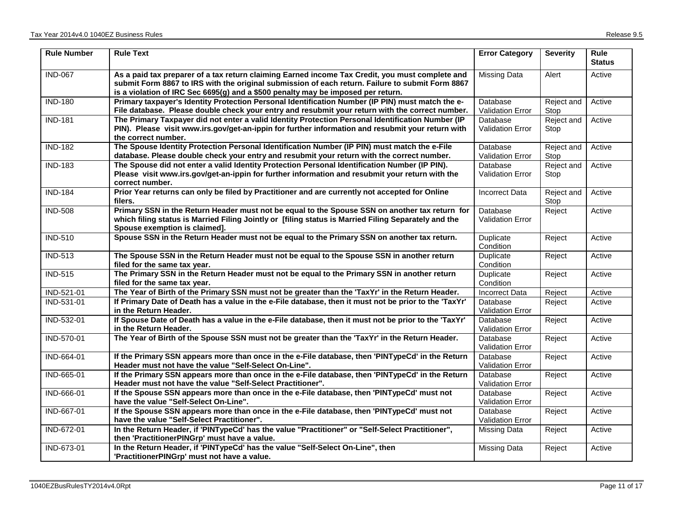| <b>Rule Number</b> | <b>Rule Text</b>                                                                                                                                                                                                                                                                        | <b>Error Category</b>               | <b>Severity</b>    | <b>Rule</b><br><b>Status</b> |
|--------------------|-----------------------------------------------------------------------------------------------------------------------------------------------------------------------------------------------------------------------------------------------------------------------------------------|-------------------------------------|--------------------|------------------------------|
| <b>IND-067</b>     | As a paid tax preparer of a tax return claiming Earned income Tax Credit, you must complete and<br>submit Form 8867 to IRS with the original submission of each return. Failure to submit Form 8867<br>is a violation of IRC Sec 6695(g) and a \$500 penalty may be imposed per return. | <b>Missing Data</b>                 | Alert              | Active                       |
| <b>IND-180</b>     | Primary taxpayer's Identity Protection Personal Identification Number (IP PIN) must match the e-<br>File database. Please double check your entry and resubmit your return with the correct number.                                                                                     | Database<br><b>Validation Error</b> | Reject and<br>Stop | Active                       |
| <b>IND-181</b>     | The Primary Taxpayer did not enter a valid Identity Protection Personal Identification Number (IP<br>PIN). Please visit www.irs.gov/get-an-ippin for further information and resubmit your return with<br>the correct number.                                                           | Database<br><b>Validation Error</b> | Reject and<br>Stop | Active                       |
| <b>IND-182</b>     | The Spouse Identity Protection Personal Identification Number (IP PIN) must match the e-File<br>database. Please double check your entry and resubmit your return with the correct number.                                                                                              | Database<br><b>Validation Error</b> | Reject and<br>Stop | Active                       |
| <b>IND-183</b>     | The Spouse did not enter a valid Identity Protection Personal Identification Number (IP PIN).<br>Please visit www.irs.gov/get-an-ippin for further information and resubmit your return with the<br>correct number.                                                                     | Database<br><b>Validation Error</b> | Reject and<br>Stop | Active                       |
| <b>IND-184</b>     | Prior Year returns can only be filed by Practitioner and are currently not accepted for Online<br>filers.                                                                                                                                                                               | Incorrect Data                      | Reject and<br>Stop | Active                       |
| <b>IND-508</b>     | Primary SSN in the Return Header must not be equal to the Spouse SSN on another tax return for<br>which filing status is Married Filing Jointly or [filing status is Married Filing Separately and the<br>Spouse exemption is claimed].                                                 | Database<br><b>Validation Error</b> | Reject             | Active                       |
| <b>IND-510</b>     | Spouse SSN in the Return Header must not be equal to the Primary SSN on another tax return.                                                                                                                                                                                             | Duplicate<br>Condition              | Reject             | Active                       |
| <b>IND-513</b>     | The Spouse SSN in the Return Header must not be equal to the Spouse SSN in another return<br>filed for the same tax year.                                                                                                                                                               | Duplicate<br>Condition              | Reject             | Active                       |
| <b>IND-515</b>     | The Primary SSN in the Return Header must not be equal to the Primary SSN in another return<br>filed for the same tax year.                                                                                                                                                             | Duplicate<br>Condition              | Reject             | Active                       |
| IND-521-01         | The Year of Birth of the Primary SSN must not be greater than the 'TaxYr' in the Return Header.                                                                                                                                                                                         | <b>Incorrect Data</b>               | Reject             | Active                       |
| IND-531-01         | If Primary Date of Death has a value in the e-File database, then it must not be prior to the 'TaxYr'<br>in the Return Header.                                                                                                                                                          | Database<br><b>Validation Error</b> | Reject             | Active                       |
| IND-532-01         | If Spouse Date of Death has a value in the e-File database, then it must not be prior to the 'TaxYr'<br>in the Return Header.                                                                                                                                                           | Database<br>Validation Error        | Reject             | Active                       |
| IND-570-01         | The Year of Birth of the Spouse SSN must not be greater than the 'TaxYr' in the Return Header.                                                                                                                                                                                          | Database<br><b>Validation Error</b> | Reject             | Active                       |
| IND-664-01         | If the Primary SSN appears more than once in the e-File database, then 'PINTypeCd' in the Return<br>Header must not have the value "Self-Select On-Line".                                                                                                                               | Database<br>Validation Error        | Reject             | Active                       |
| IND-665-01         | If the Primary SSN appears more than once in the e-File database, then 'PINTypeCd' in the Return<br>Header must not have the value "Self-Select Practitioner".                                                                                                                          | Database<br><b>Validation Error</b> | Reject             | Active                       |
| IND-666-01         | If the Spouse SSN appears more than once in the e-File database, then 'PINTypeCd' must not<br>have the value "Self-Select On-Line".                                                                                                                                                     | Database<br>Validation Error        | Reject             | Active                       |
| IND-667-01         | If the Spouse SSN appears more than once in the e-File database, then 'PINTypeCd' must not<br>have the value "Self-Select Practitioner".                                                                                                                                                | Database<br>Validation Error        | Reject             | Active                       |
| <b>IND-672-01</b>  | In the Return Header, if 'PINTypeCd' has the value "Practitioner" or "Self-Select Practitioner",<br>then 'PractitionerPINGrp' must have a value.                                                                                                                                        | Missing Data                        | Reject             | Active                       |
| IND-673-01         | In the Return Header, if 'PINTypeCd' has the value "Self-Select On-Line", then<br>'PractitionerPINGrp' must not have a value.                                                                                                                                                           | Missing Data                        | Reject             | Active                       |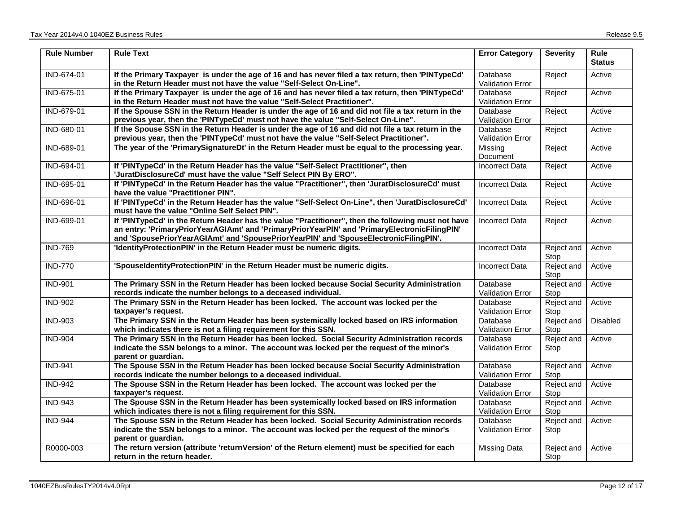| <b>Rule Number</b> | <b>Rule Text</b>                                                                                                                                                                                                                                                                             | <b>Error Category</b>                      | <b>Severity</b>    | <b>Rule</b><br><b>Status</b> |
|--------------------|----------------------------------------------------------------------------------------------------------------------------------------------------------------------------------------------------------------------------------------------------------------------------------------------|--------------------------------------------|--------------------|------------------------------|
| IND-674-01         | If the Primary Taxpayer is under the age of 16 and has never filed a tax return, then 'PINTypeCd'<br>in the Return Header must not have the value "Self-Select On-Line".                                                                                                                     | Database<br><b>Validation Error</b>        | Reject             | Active                       |
| IND-675-01         | If the Primary Taxpayer is under the age of 16 and has never filed a tax return, then 'PINTypeCd'<br>in the Return Header must not have the value "Self-Select Practitioner".                                                                                                                | Database<br><b>Validation Error</b>        | Reject             | Active                       |
| IND-679-01         | If the Spouse SSN in the Return Header is under the age of 16 and did not file a tax return in the<br>previous year, then the 'PINTypeCd' must not have the value "Self-Select On-Line".                                                                                                     | Database<br><b>Validation Error</b>        | Reject             | Active                       |
| IND-680-01         | If the Spouse SSN in the Return Header is under the age of 16 and did not file a tax return in the<br>previous year, then the 'PINTypeCd' must not have the value "Self-Select Practitioner".                                                                                                | Database<br><b>Validation Error</b>        | Reject             | Active                       |
| IND-689-01         | The year of the 'PrimarySignatureDt' in the Return Header must be equal to the processing year.                                                                                                                                                                                              | Missing<br>Document                        | Reject             | Active                       |
| IND-694-01         | If 'PINTypeCd' in the Return Header has the value "Self-Select Practitioner", then<br>'JuratDisclosureCd' must have the value "Self Select PIN By ERO".                                                                                                                                      | <b>Incorrect Data</b>                      | Reject             | Active                       |
| IND-695-01         | If 'PINTypeCd' in the Return Header has the value "Practitioner", then 'JuratDisclosureCd' must<br>have the value "Practitioner PIN".                                                                                                                                                        | <b>Incorrect Data</b>                      | Reject             | Active                       |
| IND-696-01         | If 'PINTypeCd' in the Return Header has the value "Self-Select On-Line", then 'JuratDisclosureCd'<br>must have the value "Online Self Select PIN".                                                                                                                                           | <b>Incorrect Data</b>                      | Reject             | Active                       |
| IND-699-01         | If 'PINTypeCd' in the Return Header has the value "Practitioner", then the following must not have<br>an entry: 'PrimaryPriorYearAGIAmt' and 'PrimaryPriorYearPIN' and 'PrimaryElectronicFilingPIN'<br>and 'SpousePriorYearAGIAmt' and 'SpousePriorYearPIN' and 'SpouseElectronicFilingPIN'. | <b>Incorrect Data</b>                      | Reject             | Active                       |
| <b>IND-769</b>     | 'IdentityProtectionPIN' in the Return Header must be numeric digits.                                                                                                                                                                                                                         | <b>Incorrect Data</b>                      | Reject and<br>Stop | Active                       |
| <b>IND-770</b>     | 'SpouseldentityProtectionPIN' in the Return Header must be numeric digits.                                                                                                                                                                                                                   | <b>Incorrect Data</b>                      | Reject and<br>Stop | Active                       |
| <b>IND-901</b>     | The Primary SSN in the Return Header has been locked because Social Security Administration<br>records indicate the number belongs to a deceased individual.                                                                                                                                 | Database<br><b>Validation Error</b>        | Reject and<br>Stop | Active                       |
| <b>IND-902</b>     | The Primary SSN in the Return Header has been locked. The account was locked per the<br>taxpayer's request.                                                                                                                                                                                  | Database<br><b>Validation Error</b>        | Reject and<br>Stop | Active                       |
| <b>IND-903</b>     | The Primary SSN in the Return Header has been systemically locked based on IRS information<br>which indicates there is not a filing requirement for this SSN.                                                                                                                                | Database<br>Validation Error               | Reject and<br>Stop | <b>Disabled</b>              |
| <b>IND-904</b>     | The Primary SSN in the Return Header has been locked. Social Security Administration records<br>indicate the SSN belongs to a minor. The account was locked per the request of the minor's<br>parent or guardian.                                                                            | Database<br><b>Validation Error</b>        | Reject and<br>Stop | Active                       |
| <b>IND-941</b>     | The Spouse SSN in the Return Header has been locked because Social Security Administration<br>records indicate the number belongs to a deceased individual.                                                                                                                                  | Database<br><b>Validation Error</b>        | Reject and<br>Stop | Active                       |
| <b>IND-942</b>     | The Spouse SSN in the Return Header has been locked. The account was locked per the<br>taxpayer's request.                                                                                                                                                                                   | Database<br><b>Validation Error</b>        | Reject and<br>Stop | Active                       |
| <b>IND-943</b>     | The Spouse SSN in the Return Header has been systemically locked based on IRS information<br>which indicates there is not a filing requirement for this SSN.                                                                                                                                 | <b>Database</b><br><b>Validation Error</b> | Reject and<br>Stop | Active                       |
| <b>IND-944</b>     | The Spouse SSN in the Return Header has been locked. Social Security Administration records<br>indicate the SSN belongs to a minor. The account was locked per the request of the minor's<br>parent or guardian.                                                                             | Database<br><b>Validation Error</b>        | Reject and<br>Stop | Active                       |
| R0000-003          | The return version (attribute 'returnVersion' of the Return element) must be specified for each<br>return in the return header.                                                                                                                                                              | <b>Missing Data</b>                        | Reject and<br>Stop | Active                       |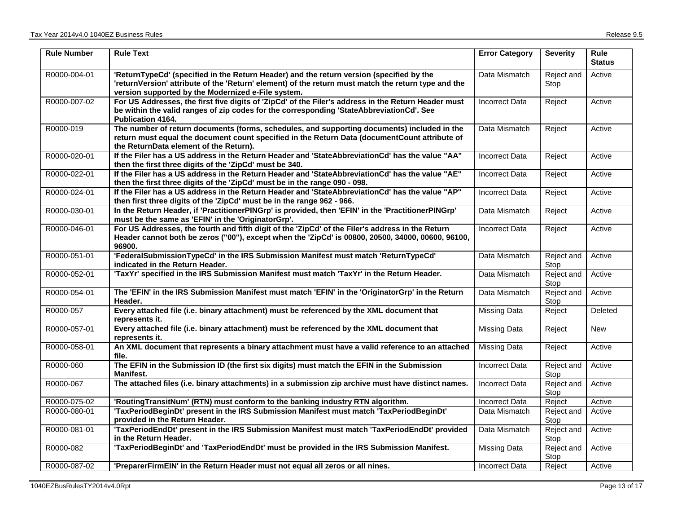| <b>Rule Number</b> | <b>Rule Text</b>                                                                                                                                                                                                                                      | <b>Error Category</b> | <b>Severity</b>    | <b>Rule</b><br><b>Status</b> |
|--------------------|-------------------------------------------------------------------------------------------------------------------------------------------------------------------------------------------------------------------------------------------------------|-----------------------|--------------------|------------------------------|
| R0000-004-01       | 'ReturnTypeCd' (specified in the Return Header) and the return version (specified by the<br>'returnVersion' attribute of the 'Return' element) of the return must match the return type and the<br>version supported by the Modernized e-File system. | Data Mismatch         | Reject and<br>Stop | Active                       |
| R0000-007-02       | For US Addresses, the first five digits of 'ZipCd' of the Filer's address in the Return Header must<br>be within the valid ranges of zip codes for the corresponding 'StateAbbreviationCd'. See<br>Publication 4164.                                  | Incorrect Data        | Reject             | Active                       |
| R0000-019          | The number of return documents (forms, schedules, and supporting documents) included in the<br>return must equal the document count specified in the Return Data (documentCount attribute of<br>the ReturnData element of the Return).                | Data Mismatch         | Reject             | Active                       |
| R0000-020-01       | If the Filer has a US address in the Return Header and 'StateAbbreviationCd' has the value "AA"<br>then the first three digits of the 'ZipCd' must be 340.                                                                                            | <b>Incorrect Data</b> | Reject             | Active                       |
| R0000-022-01       | If the Filer has a US address in the Return Header and 'StateAbbreviationCd' has the value "AE"<br>then the first three digits of the 'ZipCd' must be in the range 090 - 098.                                                                         | <b>Incorrect Data</b> | Reject             | Active                       |
| R0000-024-01       | If the Filer has a US address in the Return Header and 'StateAbbreviationCd' has the value "AP"<br>then first three digits of the 'ZipCd' must be in the range 962 - 966.                                                                             | <b>Incorrect Data</b> | Reject             | Active                       |
| R0000-030-01       | In the Return Header, if 'PractitionerPINGrp' is provided, then 'EFIN' in the 'PractitionerPINGrp'<br>must be the same as 'EFIN' in the 'OriginatorGrp'.                                                                                              | Data Mismatch         | Reject             | Active                       |
| R0000-046-01       | For US Addresses, the fourth and fifth digit of the 'ZipCd' of the Filer's address in the Return<br>Header cannot both be zeros ("00"), except when the 'ZipCd' is 00800, 20500, 34000, 00600, 96100,<br>96900.                                       | <b>Incorrect Data</b> | Reject             | Active                       |
| R0000-051-01       | 'FederalSubmissionTypeCd' in the IRS Submission Manifest must match 'ReturnTypeCd'<br>indicated in the Return Header.                                                                                                                                 | Data Mismatch         | Reject and<br>Stop | Active                       |
| R0000-052-01       | 'TaxYr' specified in the IRS Submission Manifest must match 'TaxYr' in the Return Header.                                                                                                                                                             | Data Mismatch         | Reject and<br>Stop | Active                       |
| R0000-054-01       | The 'EFIN' in the IRS Submission Manifest must match 'EFIN' in the 'OriginatorGrp' in the Return<br>Header.                                                                                                                                           | Data Mismatch         | Reject and<br>Stop | Active                       |
| R0000-057          | Every attached file (i.e. binary attachment) must be referenced by the XML document that<br>represents it.                                                                                                                                            | Missing Data          | Reject             | Deleted                      |
| R0000-057-01       | Every attached file (i.e. binary attachment) must be referenced by the XML document that<br>represents it.                                                                                                                                            | Missing Data          | Reject             | <b>New</b>                   |
| R0000-058-01       | An XML document that represents a binary attachment must have a valid reference to an attached<br>file.                                                                                                                                               | <b>Missing Data</b>   | Reject             | Active                       |
| R0000-060          | The EFIN in the Submission ID (the first six digits) must match the EFIN in the Submission<br>Manifest.                                                                                                                                               | <b>Incorrect Data</b> | Reject and<br>Stop | Active                       |
| R0000-067          | The attached files (i.e. binary attachments) in a submission zip archive must have distinct names.                                                                                                                                                    | <b>Incorrect Data</b> | Reject and<br>Stop | Active                       |
| R0000-075-02       | 'RoutingTransitNum' (RTN) must conform to the banking industry RTN algorithm.                                                                                                                                                                         | <b>Incorrect Data</b> | Reject             | Active                       |
| R0000-080-01       | 'TaxPeriodBeginDt' present in the IRS Submission Manifest must match 'TaxPeriodBeginDt'<br>provided in the Return Header.                                                                                                                             | Data Mismatch         | Reject and<br>Stop | Active                       |
| R0000-081-01       | 'TaxPeriodEndDt' present in the IRS Submission Manifest must match 'TaxPeriodEndDt' provided<br>in the Return Header.                                                                                                                                 | Data Mismatch         | Reject and<br>Stop | Active                       |
| R0000-082          | 'TaxPeriodBeginDt' and 'TaxPeriodEndDt' must be provided in the IRS Submission Manifest.                                                                                                                                                              | Missing Data          | Reject and<br>Stop | Active                       |
| R0000-087-02       | 'PreparerFirmEIN' in the Return Header must not equal all zeros or all nines.                                                                                                                                                                         | <b>Incorrect Data</b> | Reject             | Active                       |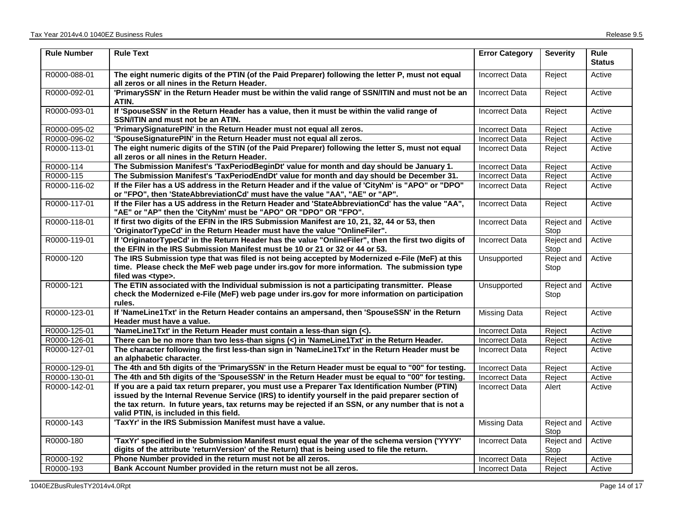| <b>Rule Number</b> | <b>Rule Text</b>                                                                                                                                                                                                                                                                                            | <b>Error Category</b> | <b>Severity</b>    | <b>Rule</b><br><b>Status</b> |
|--------------------|-------------------------------------------------------------------------------------------------------------------------------------------------------------------------------------------------------------------------------------------------------------------------------------------------------------|-----------------------|--------------------|------------------------------|
| R0000-088-01       | The eight numeric digits of the PTIN (of the Paid Preparer) following the letter P, must not equal<br>all zeros or all nines in the Return Header.                                                                                                                                                          | <b>Incorrect Data</b> | Reject             | Active                       |
| R0000-092-01       | 'PrimarySSN' in the Return Header must be within the valid range of SSN/ITIN and must not be an<br>ATIN.                                                                                                                                                                                                    | <b>Incorrect Data</b> | Reject             | Active                       |
| R0000-093-01       | If 'SpouseSSN' in the Return Header has a value, then it must be within the valid range of<br>SSN/ITIN and must not be an ATIN.                                                                                                                                                                             | <b>Incorrect Data</b> | Reject             | Active                       |
| R0000-095-02       | 'PrimarySignaturePIN' in the Return Header must not equal all zeros.                                                                                                                                                                                                                                        | <b>Incorrect Data</b> | Reject             | Active                       |
| R0000-096-02       | 'SpouseSignaturePIN' in the Return Header must not equal all zeros.                                                                                                                                                                                                                                         | <b>Incorrect Data</b> | Reject             | Active                       |
| R0000-113-01       | The eight numeric digits of the STIN (of the Paid Preparer) following the letter S, must not equal<br>all zeros or all nines in the Return Header.                                                                                                                                                          | <b>Incorrect Data</b> | Reject             | Active                       |
| R0000-114          | The Submission Manifest's 'TaxPeriodBeginDt' value for month and day should be January 1.                                                                                                                                                                                                                   | <b>Incorrect Data</b> | Reject             | Active                       |
| R0000-115          | The Submission Manifest's 'TaxPeriodEndDt' value for month and day should be December 31.                                                                                                                                                                                                                   | <b>Incorrect Data</b> | Reject             | Active                       |
| R0000-116-02       | If the Filer has a US address in the Return Header and if the value of 'CityNm' is "APO" or "DPO"<br>or "FPO", then 'StateAbbreviationCd' must have the value "AA", "AE" or "AP".                                                                                                                           | Incorrect Data        | Reject             | Active                       |
| R0000-117-01       | If the Filer has a US address in the Return Header and 'StateAbbreviationCd' has the value "AA",<br>"AE" or "AP" then the 'CityNm' must be "APO" OR "DPO" OR "FPO".                                                                                                                                         | <b>Incorrect Data</b> | Reject             | Active                       |
| R0000-118-01       | If first two digits of the EFIN in the IRS Submission Manifest are 10, 21, 32, 44 or 53, then<br>'OriginatorTypeCd' in the Return Header must have the value "OnlineFiler".                                                                                                                                 | <b>Incorrect Data</b> | Reject and<br>Stop | Active                       |
| R0000-119-01       | If 'OriginatorTypeCd' in the Return Header has the value "OnlineFiler", then the first two digits of<br>the EFIN in the IRS Submission Manifest must be 10 or 21 or 32 or 44 or 53.                                                                                                                         | <b>Incorrect Data</b> | Reject and<br>Stop | Active                       |
| R0000-120          | The IRS Submission type that was filed is not being accepted by Modernized e-File (MeF) at this<br>time. Please check the MeF web page under irs.gov for more information. The submission type<br>filed was <type>.</type>                                                                                  | Unsupported           | Reject and<br>Stop | Active                       |
| R0000-121          | The ETIN associated with the Individual submission is not a participating transmitter. Please<br>check the Modernized e-File (MeF) web page under irs.gov for more information on participation<br>rules.                                                                                                   | Unsupported           | Reject and<br>Stop | Active                       |
| R0000-123-01       | If 'NameLine1Txt' in the Return Header contains an ampersand, then 'SpouseSSN' in the Return<br>Header must have a value.                                                                                                                                                                                   | <b>Missing Data</b>   | Reject             | Active                       |
| R0000-125-01       | 'NameLine1Txt' in the Return Header must contain a less-than sign (<).                                                                                                                                                                                                                                      | <b>Incorrect Data</b> | Reject             | Active                       |
| R0000-126-01       | There can be no more than two less-than signs (<) in 'NameLine1Txt' in the Return Header.                                                                                                                                                                                                                   | <b>Incorrect Data</b> | Reject             | Active                       |
| R0000-127-01       | The character following the first less-than sign in 'NameLine1Txt' in the Return Header must be<br>an alphabetic character.                                                                                                                                                                                 | <b>Incorrect Data</b> | Reject             | Active                       |
| R0000-129-01       | The 4th and 5th digits of the 'PrimarySSN' in the Return Header must be equal to "00" for testing.                                                                                                                                                                                                          | <b>Incorrect Data</b> | Reject             | Active                       |
| R0000-130-01       | The 4th and 5th digits of the 'SpouseSSN' in the Return Header must be equal to "00" for testing.                                                                                                                                                                                                           | <b>Incorrect Data</b> | Reject             | Active                       |
| R0000-142-01       | If you are a paid tax return preparer, you must use a Preparer Tax Identification Number (PTIN)<br>issued by the Internal Revenue Service (IRS) to identify yourself in the paid preparer section of<br>the tax return. In future years, tax returns may be rejected if an SSN, or any number that is not a | <b>Incorrect Data</b> | Alert              | Active                       |
| R0000-143          | valid PTIN, is included in this field.<br>'TaxYr' in the IRS Submission Manifest must have a value.                                                                                                                                                                                                         | <b>Missing Data</b>   | Reject and<br>Stop | Active                       |
| R0000-180          | 'TaxYr' specified in the Submission Manifest must equal the year of the schema version ('YYYY'<br>digits of the attribute 'returnVersion' of the Return) that is being used to file the return.                                                                                                             | <b>Incorrect Data</b> | Reject and<br>Stop | Active                       |
| R0000-192          | Phone Number provided in the return must not be all zeros.                                                                                                                                                                                                                                                  | <b>Incorrect Data</b> | Reject             | Active                       |
| R0000-193          | Bank Account Number provided in the return must not be all zeros.                                                                                                                                                                                                                                           | <b>Incorrect Data</b> | Reject             | Active                       |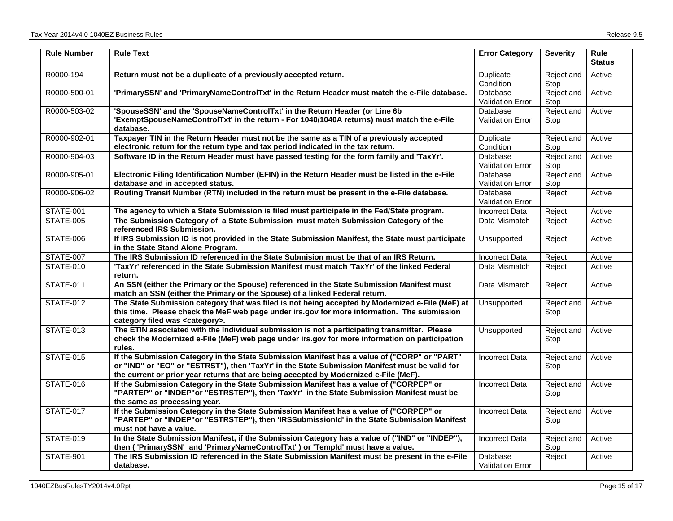| <b>Rule Number</b> | <b>Rule Text</b>                                                                                                                                                                                                                                                                        | <b>Error Category</b>                      | <b>Severity</b>    | <b>Rule</b><br><b>Status</b> |
|--------------------|-----------------------------------------------------------------------------------------------------------------------------------------------------------------------------------------------------------------------------------------------------------------------------------------|--------------------------------------------|--------------------|------------------------------|
| R0000-194          | Return must not be a duplicate of a previously accepted return.                                                                                                                                                                                                                         | Duplicate<br>Condition                     | Reject and<br>Stop | Active                       |
| R0000-500-01       | 'PrimarySSN' and 'PrimaryNameControlTxt' in the Return Header must match the e-File database.                                                                                                                                                                                           | Database<br><b>Validation Error</b>        | Reject and<br>Stop | Active                       |
| R0000-503-02       | 'SpouseSSN' and the 'SpouseNameControlTxt' in the Return Header (or Line 6b<br>'ExemptSpouseNameControlTxt' in the return - For 1040/1040A returns) must match the e-File<br>database.                                                                                                  | Database<br><b>Validation Error</b>        | Reject and<br>Stop | Active                       |
| R0000-902-01       | Taxpayer TIN in the Return Header must not be the same as a TIN of a previously accepted<br>electronic return for the return type and tax period indicated in the tax return.                                                                                                           | Duplicate<br>Condition                     | Reject and<br>Stop | Active                       |
| R0000-904-03       | Software ID in the Return Header must have passed testing for the form family and 'TaxYr'.                                                                                                                                                                                              | Database<br><b>Validation Error</b>        | Reject and<br>Stop | Active                       |
| R0000-905-01       | Electronic Filing Identification Number (EFIN) in the Return Header must be listed in the e-File<br>database and in accepted status.                                                                                                                                                    | Database<br>Validation Error               | Reject and<br>Stop | Active                       |
| R0000-906-02       | Routing Transit Number (RTN) included in the return must be present in the e-File database.                                                                                                                                                                                             | Database<br><b>Validation Error</b>        | Reject             | Active                       |
| STATE-001          | The agency to which a State Submission is filed must participate in the Fed/State program.                                                                                                                                                                                              | <b>Incorrect Data</b>                      | Reject             | Active                       |
| STATE-005          | The Submission Category of a State Submission must match Submission Category of the<br>referenced IRS Submission.                                                                                                                                                                       | Data Mismatch                              | Reject             | Active                       |
| <b>STATE-006</b>   | If IRS Submission ID is not provided in the State Submission Manifest, the State must participate<br>in the State Stand Alone Program.                                                                                                                                                  | Unsupported                                | Reject             | Active                       |
| STATE-007          | The IRS Submission ID referenced in the State Submision must be that of an IRS Return.                                                                                                                                                                                                  | <b>Incorrect Data</b>                      | Reject             | Active                       |
| <b>STATE-010</b>   | 'TaxYr' referenced in the State Submission Manifest must match 'TaxYr' of the linked Federal<br>return.                                                                                                                                                                                 | Data Mismatch                              | Reject             | Active                       |
| <b>STATE-011</b>   | An SSN (either the Primary or the Spouse) referenced in the State Submission Manifest must<br>match an SSN (either the Primary or the Spouse) of a linked Federal return.                                                                                                               | Data Mismatch                              | Reject             | Active                       |
| <b>STATE-012</b>   | The State Submission category that was filed is not being accepted by Modernized e-File (MeF) at<br>this time. Please check the MeF web page under irs.gov for more information. The submission<br>category filed was <category>.</category>                                            | Unsupported                                | Reject and<br>Stop | Active                       |
| STATE-013          | The ETIN associated with the Individual submission is not a participating transmitter. Please<br>check the Modernized e-File (MeF) web page under irs.gov for more information on participation<br>rules.                                                                               | Unsupported                                | Reject and<br>Stop | Active                       |
| <b>STATE-015</b>   | If the Submission Category in the State Submission Manifest has a value of ("CORP" or "PART"<br>or "IND" or "EO" or "ESTRST"), then 'TaxYr' in the State Submission Manifest must be valid for<br>the current or prior year returns that are being accepted by Modernized e-File (MeF). | <b>Incorrect Data</b>                      | Reject and<br>Stop | Active                       |
| <b>STATE-016</b>   | If the Submission Category in the State Submission Manifest has a value of ("CORPEP" or<br>"PARTEP" or "INDEP"or "ESTRSTEP"), then 'TaxYr' in the State Submission Manifest must be<br>the same as processing year.                                                                     | <b>Incorrect Data</b>                      | Reject and<br>Stop | Active                       |
| STATE-017          | If the Submission Category in the State Submission Manifest has a value of ("CORPEP" or<br>"PARTEP" or "INDEP"or "ESTRSTEP"), then 'IRSSubmissionId' in the State Submission Manifest<br>must not have a value.                                                                         | <b>Incorrect Data</b>                      | Reject and<br>Stop | Active                       |
| STATE-019          | In the State Submission Manifest, if the Submission Category has a value of ("IND" or "INDEP"),<br>then ('PrimarySSN' and 'PrimaryNameControlTxt') or 'Templd' must have a value.                                                                                                       | <b>Incorrect Data</b>                      | Reject and<br>Stop | Active                       |
| <b>STATE-901</b>   | The IRS Submission ID referenced in the State Submission Manifest must be present in the e-File<br>database.                                                                                                                                                                            | <b>Database</b><br><b>Validation Error</b> | Reject             | Active                       |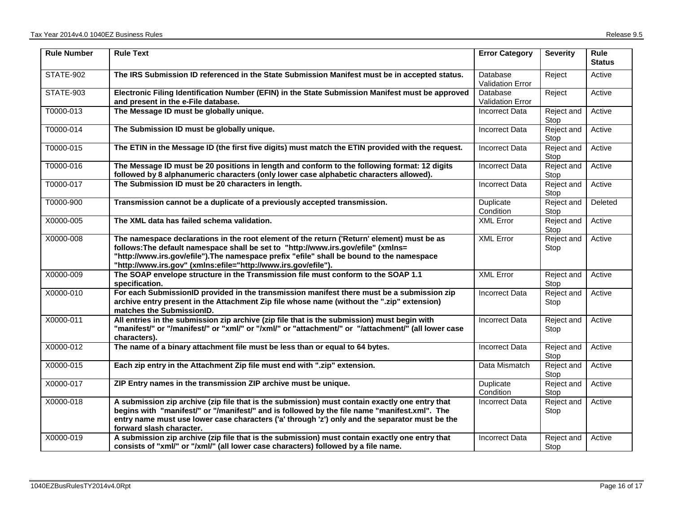| <b>Rule Number</b> | <b>Rule Text</b>                                                                                                                                                                                                                                                                                                                              | <b>Error Category</b>               | <b>Severity</b>    | Rule<br><b>Status</b> |
|--------------------|-----------------------------------------------------------------------------------------------------------------------------------------------------------------------------------------------------------------------------------------------------------------------------------------------------------------------------------------------|-------------------------------------|--------------------|-----------------------|
| STATE-902          | The IRS Submission ID referenced in the State Submission Manifest must be in accepted status.                                                                                                                                                                                                                                                 | Database<br><b>Validation Error</b> | Reject             | Active                |
| STATE-903          | Electronic Filing Identification Number (EFIN) in the State Submission Manifest must be approved<br>and present in the e-File database.                                                                                                                                                                                                       | Database<br><b>Validation Error</b> | Reject             | Active                |
| T0000-013          | The Message ID must be globally unique.                                                                                                                                                                                                                                                                                                       | <b>Incorrect Data</b>               | Reject and<br>Stop | Active                |
| T0000-014          | The Submission ID must be globally unique.                                                                                                                                                                                                                                                                                                    | <b>Incorrect Data</b>               | Reject and<br>Stop | Active                |
| T0000-015          | The ETIN in the Message ID (the first five digits) must match the ETIN provided with the request.                                                                                                                                                                                                                                             | <b>Incorrect Data</b>               | Reject and<br>Stop | Active                |
| T0000-016          | The Message ID must be 20 positions in length and conform to the following format: 12 digits<br>followed by 8 alphanumeric characters (only lower case alphabetic characters allowed).                                                                                                                                                        | <b>Incorrect Data</b>               | Reject and<br>Stop | Active                |
| T0000-017          | The Submission ID must be 20 characters in length.                                                                                                                                                                                                                                                                                            | <b>Incorrect Data</b>               | Reject and<br>Stop | Active                |
| T0000-900          | Transmission cannot be a duplicate of a previously accepted transmission.                                                                                                                                                                                                                                                                     | Duplicate<br>Condition              | Reject and<br>Stop | Deleted               |
| X0000-005          | The XML data has failed schema validation.                                                                                                                                                                                                                                                                                                    | <b>XML Error</b>                    | Reject and<br>Stop | Active                |
| X0000-008          | The namespace declarations in the root element of the return ('Return' element) must be as<br>follows: The default namespace shall be set to "http://www.irs.gov/efile" (xmlns=<br>"http://www.irs.gov/efile").The namespace prefix "efile" shall be bound to the namespace<br>"http://www.irs.gov" (xmlns:efile="http://www.irs.gov/efile"). | <b>XML Error</b>                    | Reject and<br>Stop | Active                |
| X0000-009          | The SOAP envelope structure in the Transmission file must conform to the SOAP 1.1<br>specification.                                                                                                                                                                                                                                           | <b>XML Error</b>                    | Reject and<br>Stop | Active                |
| X0000-010          | For each SubmissionID provided in the transmission manifest there must be a submission zip<br>archive entry present in the Attachment Zip file whose name (without the ".zip" extension)<br>matches the SubmissionID.                                                                                                                         | <b>Incorrect Data</b>               | Reject and<br>Stop | Active                |
| X0000-011          | All entries in the submission zip archive (zip file that is the submission) must begin with<br>"manifest/" or "/manifest/" or "xml/" or "/xml/" or "attachment/" or "/attachment/" (all lower case<br>characters).                                                                                                                            | <b>Incorrect Data</b>               | Reject and<br>Stop | Active                |
| X0000-012          | The name of a binary attachment file must be less than or equal to 64 bytes.                                                                                                                                                                                                                                                                  | <b>Incorrect Data</b>               | Reject and<br>Stop | Active                |
| X0000-015          | Each zip entry in the Attachment Zip file must end with ".zip" extension.                                                                                                                                                                                                                                                                     | Data Mismatch                       | Reject and<br>Stop | Active                |
| X0000-017          | ZIP Entry names in the transmission ZIP archive must be unique.                                                                                                                                                                                                                                                                               | Duplicate<br>Condition              | Reject and<br>Stop | Active                |
| X0000-018          | A submission zip archive (zip file that is the submission) must contain exactly one entry that<br>begins with "manifest/" or "/manifest/" and is followed by the file name "manifest.xml". The<br>entry name must use lower case characters ('a' through 'z') only and the separator must be the<br>forward slash character.                  | Incorrect Data                      | Reject and<br>Stop | Active                |
| X0000-019          | A submission zip archive (zip file that is the submission) must contain exactly one entry that<br>consists of "xml/" or "/xml/" (all lower case characters) followed by a file name.                                                                                                                                                          | <b>Incorrect Data</b>               | Reject and<br>Stop | Active                |